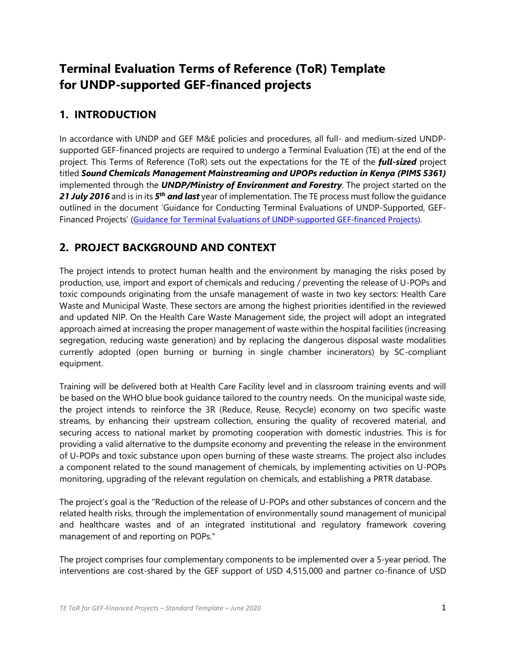## **Terminal Evaluation Terms of Reference (ToR) Template for UNDP-supported GEF-financed projects**

### **1. INTRODUCTION**

In accordance with UNDP and GEF M&E policies and procedures, all full- and medium-sized UNDPsupported GEF-financed projects are required to undergo a Terminal Evaluation (TE) at the end of the project. This Terms of Reference (ToR) sets out the expectations for the TE of the *full-sized* project titled *Sound Chemicals Management Mainstreaming and UPOPs reduction in Kenya (PIMS 5361)* implemented through the *UNDP/Ministry of Environment and Forestry*. The project started on the *21 July 2016* and is in its *5 th and last* year of implementation. The TE process must follow the guidance outlined in the document 'Guidance for Conducting Terminal Evaluations of UNDP-Supported, GEF-Financed Projects' ([Guidance for Terminal Evaluations of UNDP-supported GEF-financed Projects](https://eur03.safelinks.protection.outlook.com/?url=http%3A%2F%2Fweb.undp.org%2Fevaluation%2Fguideline%2Fdocuments%2FGEF%2FTE_GuidanceforUNDP-supportedGEF-financedProjects.pdf&data=02%7C01%7Cwashington.ayiemba%40undp.org%7C1dc9f8b924404c4e69a708d84a60d3eb%7Cb3e5db5e2944483799f57488ace54319%7C0%7C0%7C637341127014563376&sdata=TjIi1yAmJPN7UAP4bTL5WMdmBVY7ugy6CErBYFT6b8w%3D&reserved=0)).

### **2. PROJECT BACKGROUND AND CONTEXT**

The project intends to protect human health and the environment by managing the risks posed by production, use, import and export of chemicals and reducing / preventing the release of U-POPs and toxic compounds originating from the unsafe management of waste in two key sectors: Health Care Waste and Municipal Waste. These sectors are among the highest priorities identified in the reviewed and updated NIP. On the Health Care Waste Management side, the project will adopt an integrated approach aimed at increasing the proper management of waste within the hospital facilities (increasing segregation, reducing waste generation) and by replacing the dangerous disposal waste modalities currently adopted (open burning or burning in single chamber incinerators) by SC-compliant equipment.

Training will be delivered both at Health Care Facility level and in classroom training events and will be based on the WHO blue book guidance tailored to the country needs. On the municipal waste side, the project intends to reinforce the 3R (Reduce, Reuse, Recycle) economy on two specific waste streams, by enhancing their upstream collection, ensuring the quality of recovered material, and securing access to national market by promoting cooperation with domestic industries. This is for providing a valid alternative to the dumpsite economy and preventing the release in the environment of U-POPs and toxic substance upon open burning of these waste streams. The project also includes a component related to the sound management of chemicals, by implementing activities on U-POPs monitoring, upgrading of the relevant regulation on chemicals, and establishing a PRTR database.

The project's goal is the "Reduction of the release of U-POPs and other substances of concern and the related health risks, through the implementation of environmentally sound management of municipal and healthcare wastes and of an integrated institutional and regulatory framework covering management of and reporting on POPs."

The project comprises four complementary components to be implemented over a 5-year period. The interventions are cost-shared by the GEF support of USD 4,515,000 and partner co-finance of USD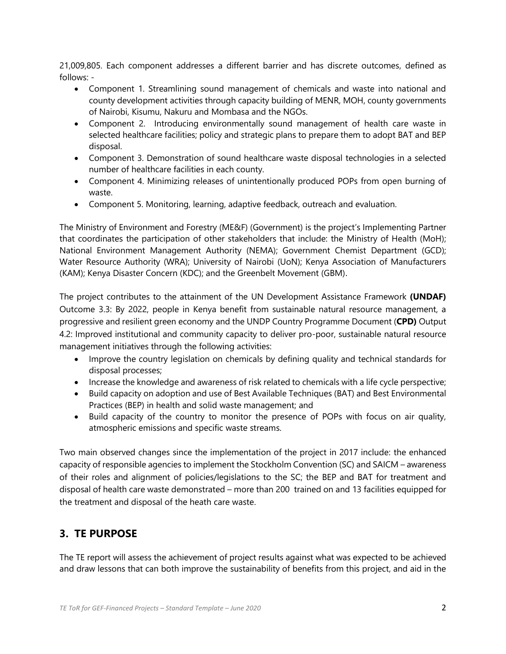21,009,805. Each component addresses a different barrier and has discrete outcomes, defined as follows: -

- Component 1. Streamlining sound management of chemicals and waste into national and county development activities through capacity building of MENR, MOH, county governments of Nairobi, Kisumu, Nakuru and Mombasa and the NGOs.
- Component 2. Introducing environmentally sound management of health care waste in selected healthcare facilities; policy and strategic plans to prepare them to adopt BAT and BEP disposal.
- Component 3. Demonstration of sound healthcare waste disposal technologies in a selected number of healthcare facilities in each county.
- Component 4. Minimizing releases of unintentionally produced POPs from open burning of waste.
- Component 5. Monitoring, learning, adaptive feedback, outreach and evaluation.

The Ministry of Environment and Forestry (ME&F) (Government) is the project's Implementing Partner that coordinates the participation of other stakeholders that include: the Ministry of Health (MoH); National Environment Management Authority (NEMA); Government Chemist Department (GCD); Water Resource Authority (WRA); University of Nairobi (UoN); Kenya Association of Manufacturers (KAM); Kenya Disaster Concern (KDC); and the Greenbelt Movement (GBM).

The project contributes to the attainment of the UN Development Assistance Framework **(UNDAF)**  Outcome 3.3: By 2022, people in Kenya benefit from sustainable natural resource management, a progressive and resilient green economy and the UNDP Country Programme Document (**CPD)** Output 4.2: Improved institutional and community capacity to deliver pro-poor, sustainable natural resource management initiatives through the following activities:

- Improve the country legislation on chemicals by defining quality and technical standards for disposal processes;
- Increase the knowledge and awareness of risk related to chemicals with a life cycle perspective;
- Build capacity on adoption and use of Best Available Techniques (BAT) and Best Environmental Practices (BEP) in health and solid waste management; and
- Build capacity of the country to monitor the presence of POPs with focus on air quality, atmospheric emissions and specific waste streams.

Two main observed changes since the implementation of the project in 2017 include: the enhanced capacity of responsible agencies to implement the Stockholm Convention (SC) and SAICM – awareness of their roles and alignment of policies/legislations to the SC; the BEP and BAT for treatment and disposal of health care waste demonstrated – more than 200 trained on and 13 facilities equipped for the treatment and disposal of the heath care waste.

### **3. TE PURPOSE**

The TE report will assess the achievement of project results against what was expected to be achieved and draw lessons that can both improve the sustainability of benefits from this project, and aid in the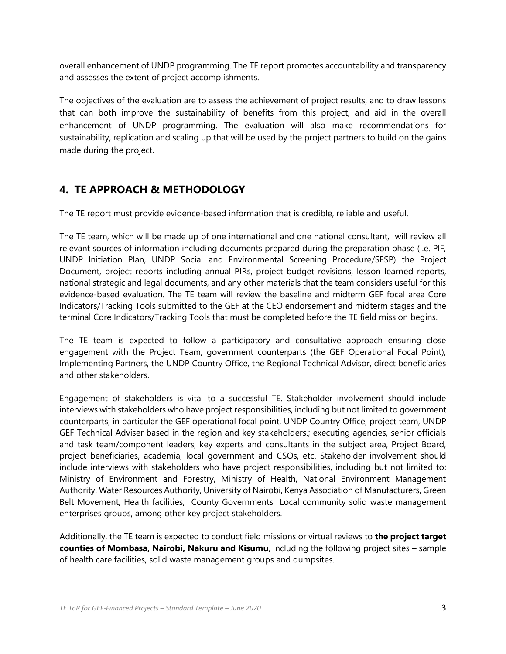overall enhancement of UNDP programming. The TE report promotes accountability and transparency and assesses the extent of project accomplishments.

The objectives of the evaluation are to assess the achievement of project results, and to draw lessons that can both improve the sustainability of benefits from this project, and aid in the overall enhancement of UNDP programming. The evaluation will also make recommendations for sustainability, replication and scaling up that will be used by the project partners to build on the gains made during the project.

### **4. TE APPROACH & METHODOLOGY**

The TE report must provide evidence-based information that is credible, reliable and useful.

The TE team, which will be made up of one international and one national consultant, will review all relevant sources of information including documents prepared during the preparation phase (i.e. PIF, UNDP Initiation Plan, UNDP Social and Environmental Screening Procedure/SESP) the Project Document, project reports including annual PIRs, project budget revisions, lesson learned reports, national strategic and legal documents, and any other materials that the team considers useful for this evidence-based evaluation. The TE team will review the baseline and midterm GEF focal area Core Indicators/Tracking Tools submitted to the GEF at the CEO endorsement and midterm stages and the terminal Core Indicators/Tracking Tools that must be completed before the TE field mission begins.

The TE team is expected to follow a participatory and consultative approach ensuring close engagement with the Project Team, government counterparts (the GEF Operational Focal Point), Implementing Partners, the UNDP Country Office, the Regional Technical Advisor, direct beneficiaries and other stakeholders.

Engagement of stakeholders is vital to a successful TE. Stakeholder involvement should include interviews with stakeholders who have project responsibilities, including but not limited to government counterparts, in particular the GEF operational focal point, UNDP Country Office, project team, UNDP GEF Technical Adviser based in the region and key stakeholders.; executing agencies, senior officials and task team/component leaders, key experts and consultants in the subject area, Project Board, project beneficiaries, academia, local government and CSOs, etc. Stakeholder involvement should include interviews with stakeholders who have project responsibilities, including but not limited to: Ministry of Environment and Forestry, Ministry of Health, National Environment Management Authority, Water Resources Authority, University of Nairobi, Kenya Association of Manufacturers, Green Belt Movement, Health facilities, County Governments Local community solid waste management enterprises groups, among other key project stakeholders.

Additionally, the TE team is expected to conduct field missions or virtual reviews to **the project target counties of Mombasa, Nairobi, Nakuru and Kisumu**, including the following project sites – sample of health care facilities, solid waste management groups and dumpsites.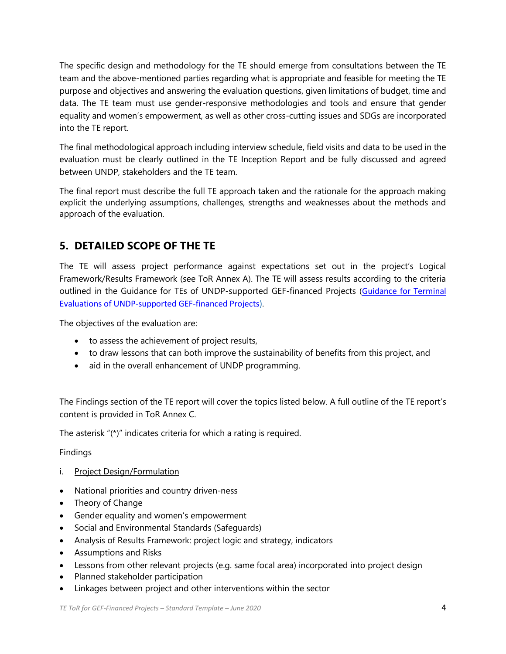The specific design and methodology for the TE should emerge from consultations between the TE team and the above-mentioned parties regarding what is appropriate and feasible for meeting the TE purpose and objectives and answering the evaluation questions, given limitations of budget, time and data. The TE team must use gender-responsive methodologies and tools and ensure that gender equality and women's empowerment, as well as other cross-cutting issues and SDGs are incorporated into the TE report.

The final methodological approach including interview schedule, field visits and data to be used in the evaluation must be clearly outlined in the TE Inception Report and be fully discussed and agreed between UNDP, stakeholders and the TE team.

The final report must describe the full TE approach taken and the rationale for the approach making explicit the underlying assumptions, challenges, strengths and weaknesses about the methods and approach of the evaluation.

### **5. DETAILED SCOPE OF THE TE**

The TE will assess project performance against expectations set out in the project's Logical Framework/Results Framework (see ToR Annex A). The TE will assess results according to the criteria outlined in the Guidance for TEs of UNDP-supported GEF-financed Projects ([Guidance for Terminal](https://eur03.safelinks.protection.outlook.com/?url=http%3A%2F%2Fweb.undp.org%2Fevaluation%2Fguideline%2Fdocuments%2FGEF%2FTE_GuidanceforUNDP-supportedGEF-financedProjects.pdf&data=02%7C01%7Cwashington.ayiemba%40undp.org%7C1dc9f8b924404c4e69a708d84a60d3eb%7Cb3e5db5e2944483799f57488ace54319%7C0%7C0%7C637341127014563376&sdata=TjIi1yAmJPN7UAP4bTL5WMdmBVY7ugy6CErBYFT6b8w%3D&reserved=0)  [Evaluations of UNDP-supported GEF-financed Projects\)](https://eur03.safelinks.protection.outlook.com/?url=http%3A%2F%2Fweb.undp.org%2Fevaluation%2Fguideline%2Fdocuments%2FGEF%2FTE_GuidanceforUNDP-supportedGEF-financedProjects.pdf&data=02%7C01%7Cwashington.ayiemba%40undp.org%7C1dc9f8b924404c4e69a708d84a60d3eb%7Cb3e5db5e2944483799f57488ace54319%7C0%7C0%7C637341127014563376&sdata=TjIi1yAmJPN7UAP4bTL5WMdmBVY7ugy6CErBYFT6b8w%3D&reserved=0).

The objectives of the evaluation are:

- to assess the achievement of project results,
- to draw lessons that can both improve the sustainability of benefits from this project, and
- aid in the overall enhancement of UNDP programming.

The Findings section of the TE report will cover the topics listed below. A full outline of the TE report's content is provided in ToR Annex C.

The asterisk "(\*)" indicates criteria for which a rating is required.

Findings

- i. Project Design/Formulation
- National priorities and country driven-ness
- Theory of Change
- Gender equality and women's empowerment
- Social and Environmental Standards (Safeguards)
- Analysis of Results Framework: project logic and strategy, indicators
- Assumptions and Risks
- Lessons from other relevant projects (e.g. same focal area) incorporated into project design
- Planned stakeholder participation
- Linkages between project and other interventions within the sector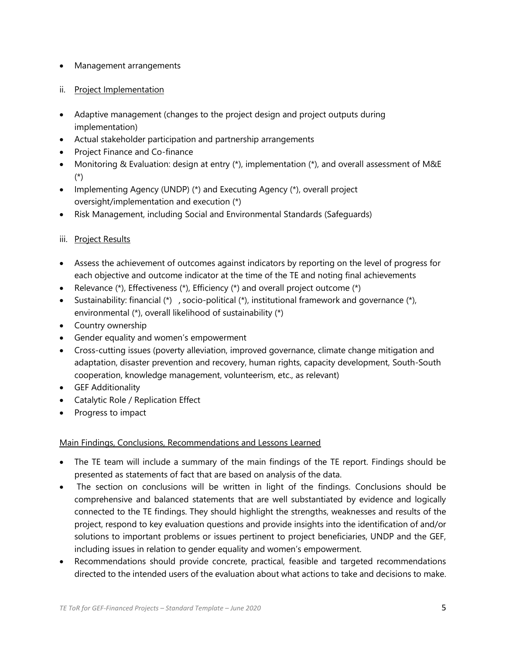- Management arrangements
- ii. Project Implementation
- Adaptive management (changes to the project design and project outputs during implementation)
- Actual stakeholder participation and partnership arrangements
- Project Finance and Co-finance
- Monitoring & Evaluation: design at entry  $(*)$ , implementation  $(*)$ , and overall assessment of M&E (\*)
- Implementing Agency (UNDP) (\*) and Executing Agency (\*), overall project oversight/implementation and execution (\*)
- Risk Management, including Social and Environmental Standards (Safeguards)

#### iii. Project Results

- Assess the achievement of outcomes against indicators by reporting on the level of progress for each objective and outcome indicator at the time of the TE and noting final achievements
- Relevance (\*), Effectiveness (\*), Efficiency (\*) and overall project outcome (\*)
- Sustainability: financial  $(*)$ , socio-political  $(*)$ , institutional framework and governance  $(*)$ , environmental (\*), overall likelihood of sustainability (\*)
- Country ownership
- Gender equality and women's empowerment
- Cross-cutting issues (poverty alleviation, improved governance, climate change mitigation and adaptation, disaster prevention and recovery, human rights, capacity development, South-South cooperation, knowledge management, volunteerism, etc., as relevant)
- GEF Additionality
- Catalytic Role / Replication Effect
- Progress to impact

#### Main Findings, Conclusions, Recommendations and Lessons Learned

- The TE team will include a summary of the main findings of the TE report. Findings should be presented as statements of fact that are based on analysis of the data.
- The section on conclusions will be written in light of the findings. Conclusions should be comprehensive and balanced statements that are well substantiated by evidence and logically connected to the TE findings. They should highlight the strengths, weaknesses and results of the project, respond to key evaluation questions and provide insights into the identification of and/or solutions to important problems or issues pertinent to project beneficiaries, UNDP and the GEF, including issues in relation to gender equality and women's empowerment.
- Recommendations should provide concrete, practical, feasible and targeted recommendations directed to the intended users of the evaluation about what actions to take and decisions to make.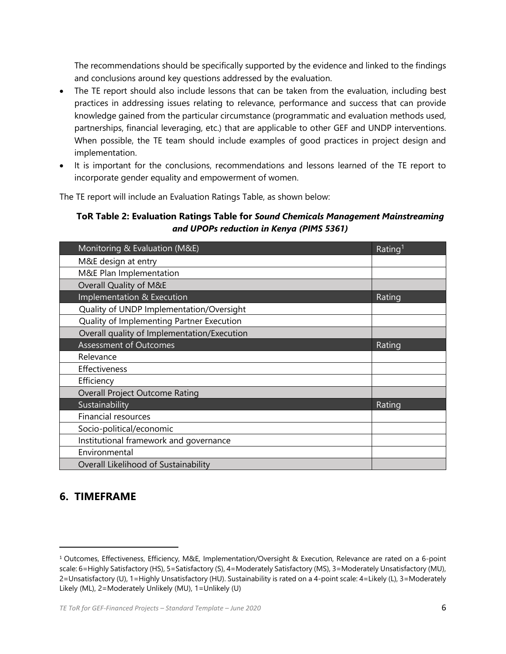The recommendations should be specifically supported by the evidence and linked to the findings and conclusions around key questions addressed by the evaluation.

- The TE report should also include lessons that can be taken from the evaluation, including best practices in addressing issues relating to relevance, performance and success that can provide knowledge gained from the particular circumstance (programmatic and evaluation methods used, partnerships, financial leveraging, etc.) that are applicable to other GEF and UNDP interventions. When possible, the TE team should include examples of good practices in project design and implementation.
- It is important for the conclusions, recommendations and lessons learned of the TE report to incorporate gender equality and empowerment of women.

The TE report will include an Evaluation Ratings Table, as shown below:

#### **ToR Table 2: Evaluation Ratings Table for** *Sound Chemicals Management Mainstreaming and UPOPs reduction in Kenya (PIMS 5361)*

| Monitoring & Evaluation (M&E)               | Rating <sup>1</sup> |
|---------------------------------------------|---------------------|
| M&E design at entry                         |                     |
| M&E Plan Implementation                     |                     |
| Overall Quality of M&E                      |                     |
| Implementation & Execution                  | Rating              |
| Quality of UNDP Implementation/Oversight    |                     |
| Quality of Implementing Partner Execution   |                     |
| Overall quality of Implementation/Execution |                     |
| <b>Assessment of Outcomes</b>               | Rating              |
| Relevance                                   |                     |
| Effectiveness                               |                     |
| Efficiency                                  |                     |
| <b>Overall Project Outcome Rating</b>       |                     |
| Sustainability                              | Rating              |
| <b>Financial resources</b>                  |                     |
| Socio-political/economic                    |                     |
| Institutional framework and governance      |                     |
| Environmental                               |                     |
| Overall Likelihood of Sustainability        |                     |

### **6. TIMEFRAME**

<sup>1</sup> Outcomes, Effectiveness, Efficiency, M&E, Implementation/Oversight & Execution, Relevance are rated on a 6-point scale: 6=Highly Satisfactory (HS), 5=Satisfactory (S), 4=Moderately Satisfactory (MS), 3=Moderately Unsatisfactory (MU), 2=Unsatisfactory (U), 1=Highly Unsatisfactory (HU). Sustainability is rated on a 4-point scale: 4=Likely (L), 3=Moderately Likely (ML), 2=Moderately Unlikely (MU), 1=Unlikely (U)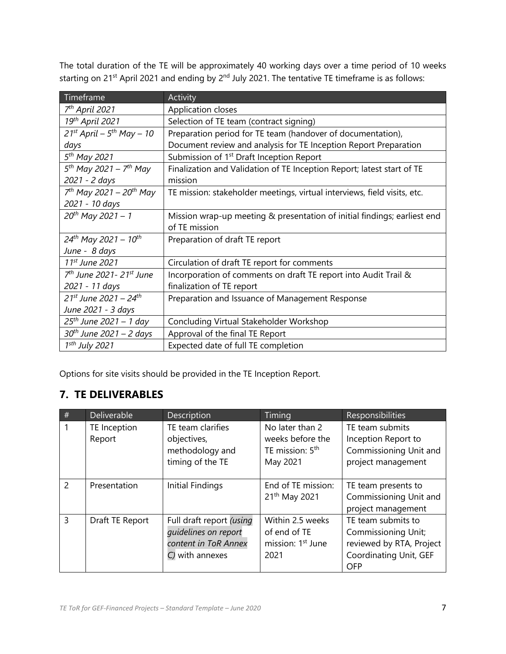The total duration of the TE will be approximately 40 working days over a time period of 10 weeks starting on 21<sup>st</sup> April 2021 and ending by 2<sup>nd</sup> July 2021. The tentative TE timeframe is as follows:

| Timeframe                                         | <b>Activity</b>                                                          |
|---------------------------------------------------|--------------------------------------------------------------------------|
| 7 <sup>th</sup> April 2021                        | Application closes                                                       |
| 19th April 2021                                   | Selection of TE team (contract signing)                                  |
| $21^{st}$ April – $5^{th}$ May – 10               | Preparation period for TE team (handover of documentation),              |
| days                                              | Document review and analysis for TE Inception Report Preparation         |
| 5 <sup>th</sup> May 2021                          | Submission of 1 <sup>st</sup> Draft Inception Report                     |
| $5^{th}$ May 2021 - 7 <sup>th</sup> May           | Finalization and Validation of TE Inception Report; latest start of TE   |
| 2021 - 2 days                                     | mission                                                                  |
| $7th$ May 2021 – 20 <sup>th</sup> May             | TE mission: stakeholder meetings, virtual interviews, field visits, etc. |
| 2021 - 10 days                                    |                                                                          |
| $20^{th}$ May 2021 - 1                            | Mission wrap-up meeting & presentation of initial findings; earliest end |
|                                                   | of TE mission                                                            |
| $24^{th}$ May 2021 - 10 <sup>th</sup>             | Preparation of draft TE report                                           |
| June - 8 days                                     |                                                                          |
| 11 <sup>st</sup> June 2021                        | Circulation of draft TE report for comments                              |
| 7 <sup>th</sup> June 2021 - 21 <sup>st</sup> June | Incorporation of comments on draft TE report into Audit Trail &          |
| 2021 - 11 days                                    | finalization of TE report                                                |
| $21^{st}$ June 2021 – 24 <sup>th</sup>            | Preparation and Issuance of Management Response                          |
| June 2021 - 3 days                                |                                                                          |
| 25 <sup>th</sup> June 2021 - 1 day                | Concluding Virtual Stakeholder Workshop                                  |
| 30 <sup>th</sup> June 2021 – 2 days               | Approval of the final TE Report                                          |
| $1sth$ July 2021                                  | Expected date of full TE completion                                      |

Options for site visits should be provided in the TE Inception Report.

### **7. TE DELIVERABLES**

| #              | <b>Deliverable</b>     | Description                                                                                 | Timing                                                                         | <b>Responsibilities</b>                                                                                       |
|----------------|------------------------|---------------------------------------------------------------------------------------------|--------------------------------------------------------------------------------|---------------------------------------------------------------------------------------------------------------|
|                | TE Inception<br>Report | TE team clarifies<br>objectives,<br>methodology and<br>timing of the TE                     | No later than 2<br>weeks before the<br>TE mission: 5 <sup>th</sup><br>May 2021 | TE team submits<br>Inception Report to<br>Commissioning Unit and<br>project management                        |
| $\overline{2}$ | Presentation           | Initial Findings                                                                            | End of TE mission:<br>21 <sup>th</sup> May 2021                                | TE team presents to<br>Commissioning Unit and<br>project management                                           |
| 3              | Draft TE Report        | Full draft report (using<br>quidelines on report<br>content in ToR Annex<br>C) with annexes | Within 2.5 weeks<br>of end of TE<br>mission: 1 <sup>st</sup> June<br>2021      | TE team submits to<br>Commissioning Unit;<br>reviewed by RTA, Project<br>Coordinating Unit, GEF<br><b>OFP</b> |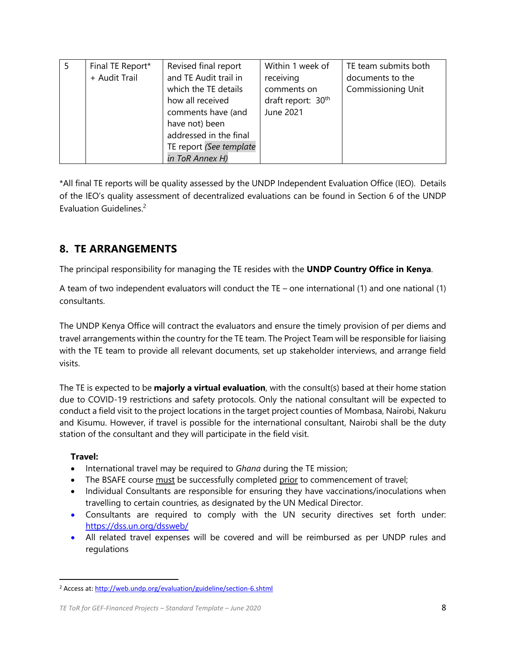| Final TE Report*<br>+ Audit Trail | Revised final report<br>and TE Audit trail in<br>which the TE details                                                            | Within 1 week of<br>receiving<br>comments on | TE team submits both<br>documents to the<br><b>Commissioning Unit</b> |
|-----------------------------------|----------------------------------------------------------------------------------------------------------------------------------|----------------------------------------------|-----------------------------------------------------------------------|
|                                   | how all received<br>comments have (and<br>have not) been<br>addressed in the final<br>TE report (See template<br>in ToR Annex H) | draft report: 30 <sup>th</sup><br>June 2021  |                                                                       |

\*All final TE reports will be quality assessed by the UNDP Independent Evaluation Office (IEO). Details of the IEO's quality assessment of decentralized evaluations can be found in Section 6 of the UNDP Evaluation Guidelines. 2

## **8. TE ARRANGEMENTS**

The principal responsibility for managing the TE resides with the **UNDP Country Office in Kenya**.

A team of two independent evaluators will conduct the TE – one international (1) and one national (1) consultants.

The UNDP Kenya Office will contract the evaluators and ensure the timely provision of per diems and travel arrangements within the country for the TE team. The Project Team will be responsible for liaising with the TE team to provide all relevant documents, set up stakeholder interviews, and arrange field visits.

The TE is expected to be **majorly a virtual evaluation**, with the consult(s) based at their home station due to COVID-19 restrictions and safety protocols. Only the national consultant will be expected to conduct a field visit to the project locations in the target project counties of Mombasa, Nairobi, Nakuru and Kisumu. However, if travel is possible for the international consultant, Nairobi shall be the duty station of the consultant and they will participate in the field visit.

#### **Travel:**

- International travel may be required to *Ghana* during the TE mission;
- The BSAFE course must be successfully completed prior to commencement of travel;
- Individual Consultants are responsible for ensuring they have vaccinations/inoculations when travelling to certain countries, as designated by the UN Medical Director.
- Consultants are required to comply with the UN security directives set forth under: <https://dss.un.org/dssweb/>
- All related travel expenses will be covered and will be reimbursed as per UNDP rules and regulations

<sup>2</sup> Access at[: http://web.undp.org/evaluation/guideline/section-6.shtml](http://web.undp.org/evaluation/guideline/section-6.shtml)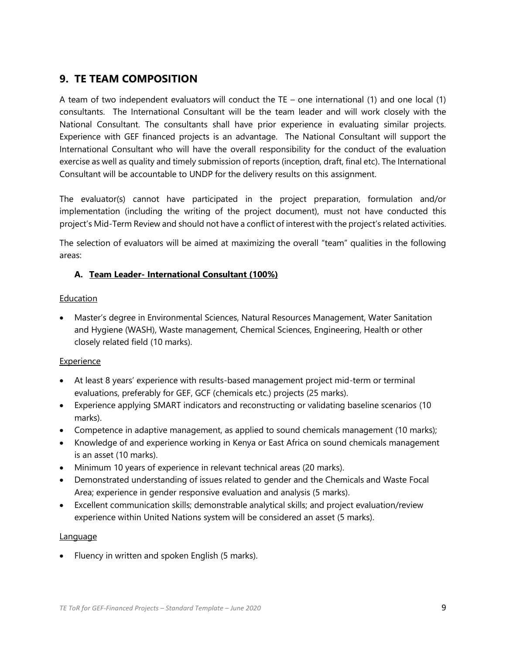### **9. TE TEAM COMPOSITION**

A team of two independent evaluators will conduct the TE – one international (1) and one local (1) consultants. The International Consultant will be the team leader and will work closely with the National Consultant. The consultants shall have prior experience in evaluating similar projects. Experience with GEF financed projects is an advantage. The National Consultant will support the International Consultant who will have the overall responsibility for the conduct of the evaluation exercise as well as quality and timely submission of reports (inception, draft, final etc). The International Consultant will be accountable to UNDP for the delivery results on this assignment.

The evaluator(s) cannot have participated in the project preparation, formulation and/or implementation (including the writing of the project document), must not have conducted this project's Mid-Term Review and should not have a conflict of interest with the project's related activities.

The selection of evaluators will be aimed at maximizing the overall "team" qualities in the following areas:

#### **A. Team Leader- International Consultant (100%)**

#### Education

• Master's degree in Environmental Sciences, Natural Resources Management, Water Sanitation and Hygiene (WASH), Waste management, Chemical Sciences, Engineering, Health or other closely related field (10 marks).

#### Experience

- At least 8 years' experience with results-based management project mid-term or terminal evaluations, preferably for GEF, GCF (chemicals etc.) projects (25 marks).
- Experience applying SMART indicators and reconstructing or validating baseline scenarios (10 marks).
- Competence in adaptive management, as applied to sound chemicals management (10 marks);
- Knowledge of and experience working in Kenya or East Africa on sound chemicals management is an asset (10 marks).
- Minimum 10 years of experience in relevant technical areas (20 marks).
- Demonstrated understanding of issues related to gender and the Chemicals and Waste Focal Area; experience in gender responsive evaluation and analysis (5 marks).
- Excellent communication skills; demonstrable analytical skills; and project evaluation/review experience within United Nations system will be considered an asset (5 marks).

#### **Language**

• Fluency in written and spoken English (5 marks).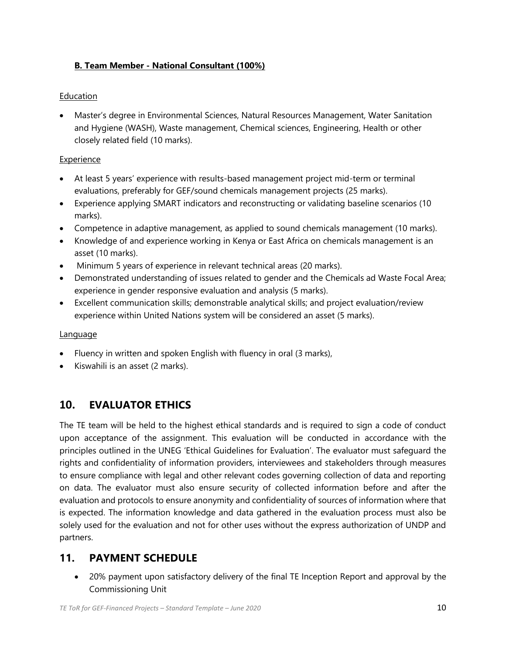#### **B. Team Member - National Consultant (100%)**

#### **Education**

• Master's degree in Environmental Sciences, Natural Resources Management, Water Sanitation and Hygiene (WASH), Waste management, Chemical sciences, Engineering, Health or other closely related field (10 marks).

#### **Experience**

- At least 5 years' experience with results-based management project mid-term or terminal evaluations, preferably for GEF/sound chemicals management projects (25 marks).
- Experience applying SMART indicators and reconstructing or validating baseline scenarios (10 marks).
- Competence in adaptive management, as applied to sound chemicals management (10 marks).
- Knowledge of and experience working in Kenya or East Africa on chemicals management is an asset (10 marks).
- Minimum 5 years of experience in relevant technical areas (20 marks).
- Demonstrated understanding of issues related to gender and the Chemicals ad Waste Focal Area; experience in gender responsive evaluation and analysis (5 marks).
- Excellent communication skills; demonstrable analytical skills; and project evaluation/review experience within United Nations system will be considered an asset (5 marks).

#### **Language**

- Fluency in written and spoken English with fluency in oral (3 marks),
- Kiswahili is an asset (2 marks).

### **10. EVALUATOR ETHICS**

The TE team will be held to the highest ethical standards and is required to sign a code of conduct upon acceptance of the assignment. This evaluation will be conducted in accordance with the principles outlined in the UNEG 'Ethical Guidelines for Evaluation'. The evaluator must safeguard the rights and confidentiality of information providers, interviewees and stakeholders through measures to ensure compliance with legal and other relevant codes governing collection of data and reporting on data. The evaluator must also ensure security of collected information before and after the evaluation and protocols to ensure anonymity and confidentiality of sources of information where that is expected. The information knowledge and data gathered in the evaluation process must also be solely used for the evaluation and not for other uses without the express authorization of UNDP and partners.

### **11. PAYMENT SCHEDULE**

• 20% payment upon satisfactory delivery of the final TE Inception Report and approval by the Commissioning Unit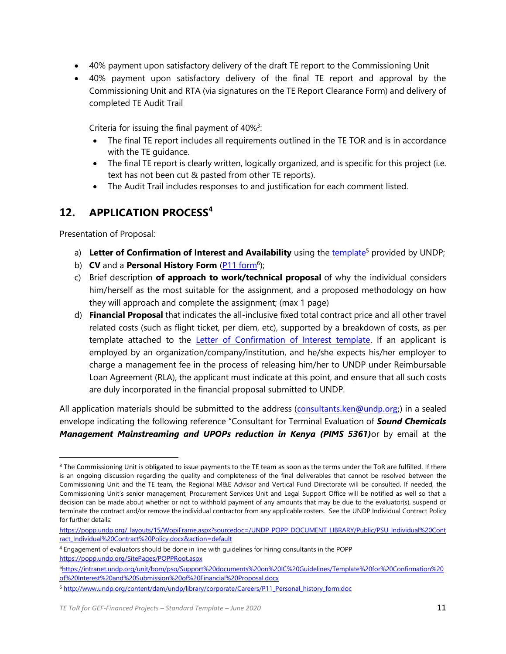- 40% payment upon satisfactory delivery of the draft TE report to the Commissioning Unit
- 40% payment upon satisfactory delivery of the final TE report and approval by the Commissioning Unit and RTA (via signatures on the TE Report Clearance Form) and delivery of completed TE Audit Trail

Criteria for issuing the final payment of  $40\%$ <sup>3</sup>:

- The final TE report includes all requirements outlined in the TE TOR and is in accordance with the TE guidance.
- The final TE report is clearly written, logically organized, and is specific for this project (i.e. text has not been cut & pasted from other TE reports).
- The Audit Trail includes responses to and justification for each comment listed.

### **12. APPLICATION PROCESS<sup>4</sup>**

Presentation of Proposal:

- a) Letter of Confirmation of Interest and Availability using th[e template](https://intranet.undp.org/unit/bom/pso/Support%20documents%20on%20IC%20Guidelines/Template%20for%20Confirmation%20of%20Interest%20and%20Submission%20of%20Financial%20Proposal.docx)<sup>5</sup> provided by UNDP;
- b) **CV** and a **Personal History Form** [\(P11 form](http://www.undp.org/content/dam/undp/library/corporate/Careers/P11_Personal_history_form.doc)<sup>6</sup>);
- c) Brief description **of approach to work/technical proposal** of why the individual considers him/herself as the most suitable for the assignment, and a proposed methodology on how they will approach and complete the assignment; (max 1 page)
- d) **Financial Proposal** that indicates the all-inclusive fixed total contract price and all other travel related costs (such as flight ticket, per diem, etc), supported by a breakdown of costs, as per template attached to the **Letter of Confirmation of Interest template**. If an applicant is employed by an organization/company/institution, and he/she expects his/her employer to charge a management fee in the process of releasing him/her to UNDP under Reimbursable Loan Agreement (RLA), the applicant must indicate at this point, and ensure that all such costs are duly incorporated in the financial proposal submitted to UNDP.

All application materials should be submitted to the address ([consultants.ken@undp.org;](mailto:consultants.ken@undp.org)) in a sealed envelope indicating the following reference "Consultant for Terminal Evaluation of *Sound Chemicals Management Mainstreaming and UPOPs reduction in Kenya (PIMS 5361)*or by email at the

<sup>&</sup>lt;sup>3</sup> The Commissioning Unit is obligated to issue payments to the TE team as soon as the terms under the ToR are fulfilled. If there is an ongoing discussion regarding the quality and completeness of the final deliverables that cannot be resolved between the Commissioning Unit and the TE team, the Regional M&E Advisor and Vertical Fund Directorate will be consulted. If needed, the Commissioning Unit's senior management, Procurement Services Unit and Legal Support Office will be notified as well so that a decision can be made about whether or not to withhold payment of any amounts that may be due to the evaluator(s), suspend or terminate the contract and/or remove the individual contractor from any applicable rosters. See the UNDP Individual Contract Policy for further details:

[https://popp.undp.org/\\_layouts/15/WopiFrame.aspx?sourcedoc=/UNDP\\_POPP\\_DOCUMENT\\_LIBRARY/Public/PSU\\_Individual%20Cont](https://popp.undp.org/_layouts/15/WopiFrame.aspx?sourcedoc=/UNDP_POPP_DOCUMENT_LIBRARY/Public/PSU_Individual%20Contract_Individual%20Contract%20Policy.docx&action=default) [ract\\_Individual%20Contract%20Policy.docx&action=default](https://popp.undp.org/_layouts/15/WopiFrame.aspx?sourcedoc=/UNDP_POPP_DOCUMENT_LIBRARY/Public/PSU_Individual%20Contract_Individual%20Contract%20Policy.docx&action=default)

<sup>4</sup> Engagement of evaluators should be done in line with guidelines for hiring consultants in the POPP <https://popp.undp.org/SitePages/POPPRoot.aspx>

<sup>5</sup>[https://intranet.undp.org/unit/bom/pso/Support%20documents%20on%20IC%20Guidelines/Template%20for%20Confirmation%20](https://intranet.undp.org/unit/bom/pso/Support%20documents%20on%20IC%20Guidelines/Template%20for%20Confirmation%20of%20Interest%20and%20Submission%20of%20Financial%20Proposal.docx) [of%20Interest%20and%20Submission%20of%20Financial%20Proposal.docx](https://intranet.undp.org/unit/bom/pso/Support%20documents%20on%20IC%20Guidelines/Template%20for%20Confirmation%20of%20Interest%20and%20Submission%20of%20Financial%20Proposal.docx)

<sup>6</sup> [http://www.undp.org/content/dam/undp/library/corporate/Careers/P11\\_Personal\\_history\\_form.doc](http://www.undp.org/content/dam/undp/library/corporate/Careers/P11_Personal_history_form.doc)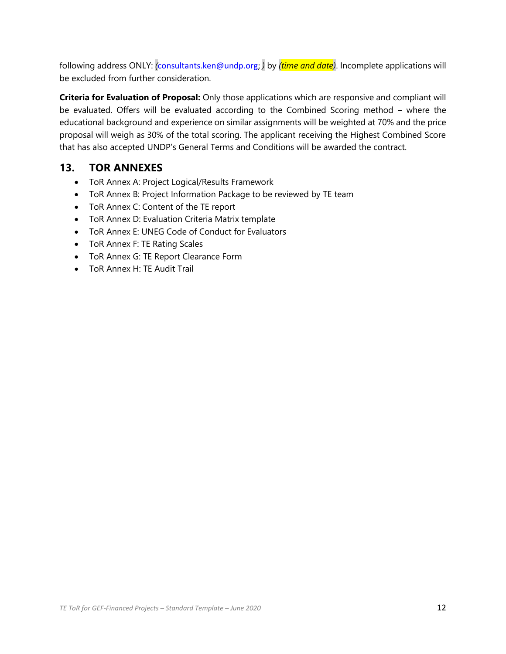following address ONLY: *(*[consultants.ken@undp.org;](mailto:consultants.ken@undp.org) *)* by *(time and date)*. Incomplete applications will be excluded from further consideration.

**Criteria for Evaluation of Proposal:** Only those applications which are responsive and compliant will be evaluated. Offers will be evaluated according to the Combined Scoring method – where the educational background and experience on similar assignments will be weighted at 70% and the price proposal will weigh as 30% of the total scoring. The applicant receiving the Highest Combined Score that has also accepted UNDP's General Terms and Conditions will be awarded the contract.

### **13. TOR ANNEXES**

- ToR Annex A: Project Logical/Results Framework
- ToR Annex B: Project Information Package to be reviewed by TE team
- ToR Annex C: Content of the TE report
- ToR Annex D: Evaluation Criteria Matrix template
- ToR Annex E: UNEG Code of Conduct for Evaluators
- ToR Annex F: TE Rating Scales
- ToR Annex G: TE Report Clearance Form
- ToR Annex H: TE Audit Trail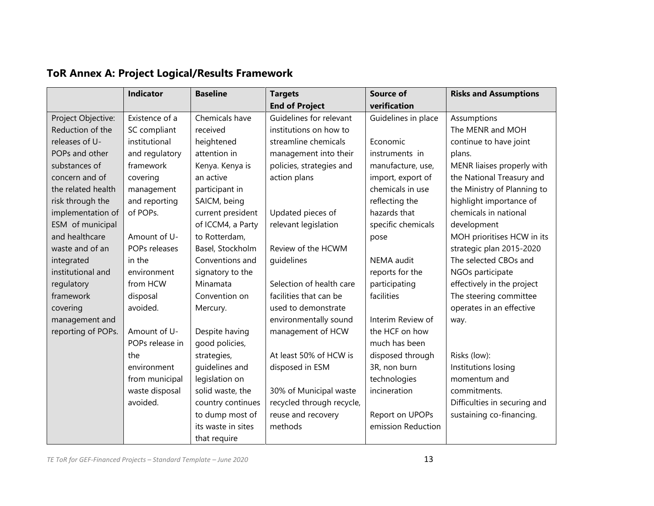|                    | Indicator       | <b>Baseline</b>    | <b>Targets</b>            | <b>Source of</b>    | <b>Risks and Assumptions</b> |
|--------------------|-----------------|--------------------|---------------------------|---------------------|------------------------------|
|                    |                 |                    | <b>End of Project</b>     | verification        |                              |
| Project Objective: | Existence of a  | Chemicals have     | Guidelines for relevant   | Guidelines in place | Assumptions                  |
| Reduction of the   | SC compliant    | received           | institutions on how to    |                     | The MENR and MOH             |
| releases of U-     | institutional   | heightened         | streamline chemicals      | Economic            | continue to have joint       |
| POPs and other     | and regulatory  | attention in       | management into their     | instruments in      | plans.                       |
| substances of      | framework       | Kenya. Kenya is    | policies, strategies and  | manufacture, use,   | MENR liaises properly with   |
| concern and of     | covering        | an active          | action plans              | import, export of   | the National Treasury and    |
| the related health | management      | participant in     |                           | chemicals in use    | the Ministry of Planning to  |
| risk through the   | and reporting   | SAICM, being       |                           | reflecting the      | highlight importance of      |
| implementation of  | of POPs.        | current president  | Updated pieces of         | hazards that        | chemicals in national        |
| ESM of municipal   |                 | of ICCM4, a Party  | relevant legislation      | specific chemicals  | development                  |
| and healthcare     | Amount of U-    | to Rotterdam,      |                           | pose                | MOH prioritises HCW in its   |
| waste and of an    | POPs releases   | Basel, Stockholm   | Review of the HCWM        |                     | strategic plan 2015-2020     |
| integrated         | in the          | Conventions and    | guidelines                | <b>NEMA</b> audit   | The selected CBOs and        |
| institutional and  | environment     | signatory to the   |                           | reports for the     | NGOs participate             |
| regulatory         | from HCW        | Minamata           | Selection of health care  | participating       | effectively in the project   |
| framework          | disposal        | Convention on      | facilities that can be    | facilities          | The steering committee       |
| covering           | avoided.        | Mercury.           | used to demonstrate       |                     | operates in an effective     |
| management and     |                 |                    | environmentally sound     | Interim Review of   | way.                         |
| reporting of POPs. | Amount of U-    | Despite having     | management of HCW         | the HCF on how      |                              |
|                    | POPs release in | good policies,     |                           | much has been       |                              |
|                    | the             | strategies,        | At least 50% of HCW is    | disposed through    | Risks (low):                 |
|                    | environment     | guidelines and     | disposed in ESM           | 3R, non burn        | Institutions losing          |
|                    | from municipal  | legislation on     |                           | technologies        | momentum and                 |
|                    | waste disposal  | solid waste, the   | 30% of Municipal waste    | incineration        | commitments.                 |
|                    | avoided.        | country continues  | recycled through recycle, |                     | Difficulties in securing and |
|                    |                 | to dump most of    | reuse and recovery        | Report on UPOPs     | sustaining co-financing.     |
|                    |                 | its waste in sites | methods                   | emission Reduction  |                              |
|                    |                 | that require       |                           |                     |                              |

# **ToR Annex A: Project Logical/Results Framework**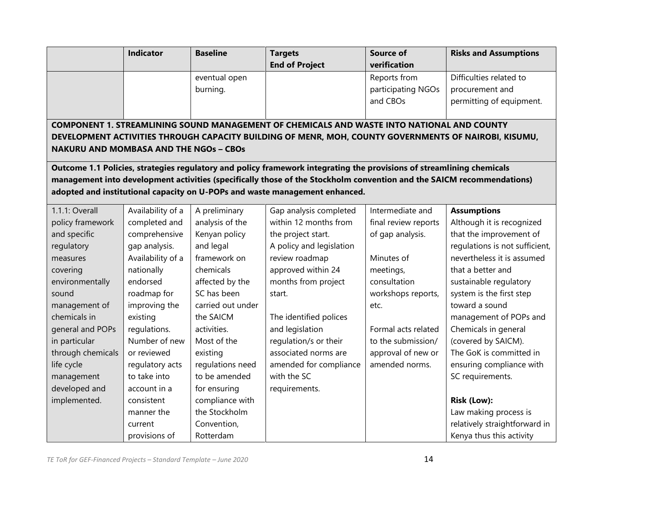|                                               | <b>Indicator</b>  | <b>Baseline</b>   | <b>Targets</b>                                                                                                        | <b>Source of</b>     | <b>Risks and Assumptions</b>   |
|-----------------------------------------------|-------------------|-------------------|-----------------------------------------------------------------------------------------------------------------------|----------------------|--------------------------------|
|                                               |                   |                   | <b>End of Project</b>                                                                                                 | verification         |                                |
|                                               |                   | eventual open     |                                                                                                                       | Reports from         | Difficulties related to        |
|                                               |                   | burning.          |                                                                                                                       | participating NGOs   | procurement and                |
|                                               |                   |                   |                                                                                                                       | and CBOs             | permitting of equipment.       |
|                                               |                   |                   |                                                                                                                       |                      |                                |
|                                               |                   |                   | COMPONENT 1. STREAMLINING SOUND MANAGEMENT OF CHEMICALS AND WASTE INTO NATIONAL AND COUNTY                            |                      |                                |
|                                               |                   |                   | DEVELOPMENT ACTIVITIES THROUGH CAPACITY BUILDING OF MENR, MOH, COUNTY GOVERNMENTS OF NAIROBI, KISUMU,                 |                      |                                |
| <b>NAKURU AND MOMBASA AND THE NGOs - CBOs</b> |                   |                   |                                                                                                                       |                      |                                |
|                                               |                   |                   | Outcome 1.1 Policies, strategies regulatory and policy framework integrating the provisions of streamlining chemicals |                      |                                |
|                                               |                   |                   | management into development activities (specifically those of the Stockholm convention and the SAICM recommendations) |                      |                                |
|                                               |                   |                   | adopted and institutional capacity on U-POPs and waste management enhanced.                                           |                      |                                |
| 1.1.1: Overall                                | Availability of a | A preliminary     | Gap analysis completed                                                                                                | Intermediate and     | <b>Assumptions</b>             |
| policy framework                              | completed and     | analysis of the   | within 12 months from                                                                                                 | final review reports | Although it is recognized      |
| and specific                                  | comprehensive     | Kenyan policy     | the project start.                                                                                                    | of gap analysis.     | that the improvement of        |
| regulatory                                    | gap analysis.     | and legal         | A policy and legislation                                                                                              |                      | regulations is not sufficient, |
| measures                                      | Availability of a | framework on      | review roadmap                                                                                                        | Minutes of           | nevertheless it is assumed     |
| covering                                      | nationally        | chemicals         | approved within 24                                                                                                    | meetings,            | that a better and              |
| environmentally                               | endorsed          | affected by the   | months from project                                                                                                   | consultation         | sustainable regulatory         |
| sound                                         | roadmap for       | SC has been       | start.                                                                                                                | workshops reports,   | system is the first step       |
| management of                                 | improving the     | carried out under |                                                                                                                       | etc.                 | toward a sound                 |
| chemicals in                                  | existing          | the SAICM         | The identified polices                                                                                                |                      | management of POPs and         |
| general and POPs                              | regulations.      | activities.       | and legislation                                                                                                       | Formal acts related  | Chemicals in general           |
| in particular                                 | Number of new     | Most of the       | regulation/s or their                                                                                                 | to the submission/   | (covered by SAICM).            |
| through chemicals                             | or reviewed       | existing          | associated norms are                                                                                                  | approval of new or   | The GoK is committed in        |
| life cycle                                    | regulatory acts   | regulations need  | amended for compliance                                                                                                | amended norms.       | ensuring compliance with       |
| management                                    | to take into      | to be amended     | with the SC                                                                                                           |                      | SC requirements.               |
| developed and                                 | account in a      | for ensuring      | requirements.                                                                                                         |                      |                                |
| implemented.                                  | consistent        | compliance with   |                                                                                                                       |                      | Risk (Low):                    |
|                                               | manner the        | the Stockholm     |                                                                                                                       |                      | Law making process is          |
|                                               | current           | Convention,       |                                                                                                                       |                      | relatively straightforward in  |
|                                               | provisions of     | Rotterdam         |                                                                                                                       |                      | Kenya thus this activity       |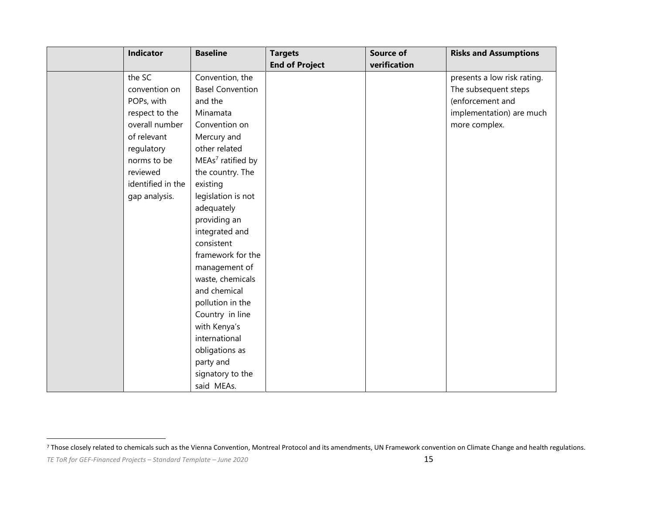| <b>Indicator</b>  | <b>Baseline</b>               | <b>Targets</b>        | <b>Source of</b> | <b>Risks and Assumptions</b> |
|-------------------|-------------------------------|-----------------------|------------------|------------------------------|
|                   |                               | <b>End of Project</b> | verification     |                              |
| the SC            | Convention, the               |                       |                  | presents a low risk rating.  |
| convention on     | <b>Basel Convention</b>       |                       |                  | The subsequent steps         |
| POPs, with        | and the                       |                       |                  | (enforcement and             |
| respect to the    | Minamata                      |                       |                  | implementation) are much     |
| overall number    | Convention on                 |                       |                  | more complex.                |
| of relevant       | Mercury and                   |                       |                  |                              |
| regulatory        | other related                 |                       |                  |                              |
| norms to be       | MEAs <sup>7</sup> ratified by |                       |                  |                              |
| reviewed          | the country. The              |                       |                  |                              |
| identified in the | existing                      |                       |                  |                              |
| gap analysis.     | legislation is not            |                       |                  |                              |
|                   | adequately                    |                       |                  |                              |
|                   | providing an                  |                       |                  |                              |
|                   | integrated and                |                       |                  |                              |
|                   | consistent                    |                       |                  |                              |
|                   | framework for the             |                       |                  |                              |
|                   | management of                 |                       |                  |                              |
|                   | waste, chemicals              |                       |                  |                              |
|                   | and chemical                  |                       |                  |                              |
|                   | pollution in the              |                       |                  |                              |
|                   | Country in line               |                       |                  |                              |
|                   | with Kenya's                  |                       |                  |                              |
|                   | international                 |                       |                  |                              |
|                   | obligations as                |                       |                  |                              |
|                   | party and                     |                       |                  |                              |
|                   | signatory to the              |                       |                  |                              |
|                   | said MEAs.                    |                       |                  |                              |

<sup>&</sup>lt;sup>7</sup> Those closely related to chemicals such as the Vienna Convention, Montreal Protocol and its amendments, UN Framework convention on Climate Change and health regulations.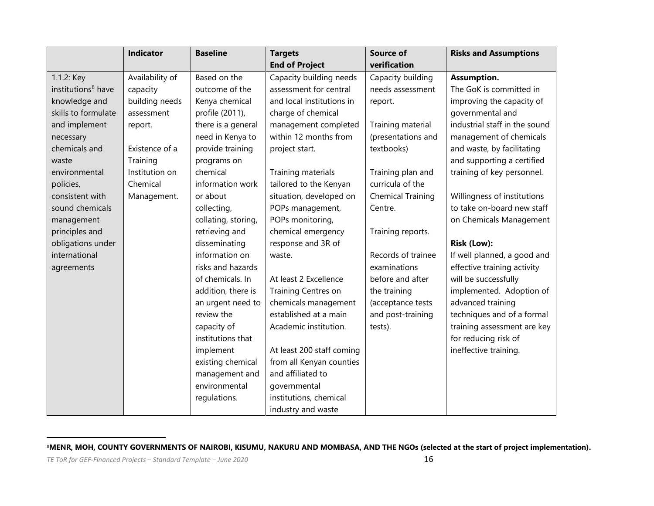|                                | <b>Indicator</b> | <b>Baseline</b>     | <b>Targets</b>            | <b>Source of</b>         | <b>Risks and Assumptions</b>  |
|--------------------------------|------------------|---------------------|---------------------------|--------------------------|-------------------------------|
|                                |                  |                     | <b>End of Project</b>     | verification             |                               |
| 1.1.2: Key                     | Availability of  | Based on the        | Capacity building needs   | Capacity building        | Assumption.                   |
| institutions <sup>8</sup> have | capacity         | outcome of the      | assessment for central    | needs assessment         | The GoK is committed in       |
| knowledge and                  | building needs   | Kenya chemical      | and local institutions in | report.                  | improving the capacity of     |
| skills to formulate            | assessment       | profile (2011),     | charge of chemical        |                          | governmental and              |
| and implement                  | report.          | there is a general  | management completed      | Training material        | industrial staff in the sound |
| necessary                      |                  | need in Kenya to    | within 12 months from     | (presentations and       | management of chemicals       |
| chemicals and                  | Existence of a   | provide training    | project start.            | textbooks)               | and waste, by facilitating    |
| waste                          | Training         | programs on         |                           |                          | and supporting a certified    |
| environmental                  | Institution on   | chemical            | Training materials        | Training plan and        | training of key personnel.    |
| policies,                      | Chemical         | information work    | tailored to the Kenyan    | curricula of the         |                               |
| consistent with                | Management.      | or about            | situation, developed on   | <b>Chemical Training</b> | Willingness of institutions   |
| sound chemicals                |                  | collecting,         | POPs management,          | Centre.                  | to take on-board new staff    |
| management                     |                  | collating, storing, | POPs monitoring,          |                          | on Chemicals Management       |
| principles and                 |                  | retrieving and      | chemical emergency        | Training reports.        |                               |
| obligations under              |                  | disseminating       | response and 3R of        |                          | Risk (Low):                   |
| international                  |                  | information on      | waste.                    | Records of trainee       | If well planned, a good and   |
| agreements                     |                  | risks and hazards   |                           | examinations             | effective training activity   |
|                                |                  | of chemicals. In    | At least 2 Excellence     | before and after         | will be successfully          |
|                                |                  | addition, there is  | Training Centres on       | the training             | implemented. Adoption of      |
|                                |                  | an urgent need to   | chemicals management      | (acceptance tests        | advanced training             |
|                                |                  | review the          | established at a main     | and post-training        | techniques and of a formal    |
|                                |                  | capacity of         | Academic institution.     | tests).                  | training assessment are key   |
|                                |                  | institutions that   |                           |                          | for reducing risk of          |
|                                |                  | implement           | At least 200 staff coming |                          | ineffective training.         |
|                                |                  | existing chemical   | from all Kenyan counties  |                          |                               |
|                                |                  | management and      | and affiliated to         |                          |                               |
|                                |                  | environmental       | governmental              |                          |                               |
|                                |                  | regulations.        | institutions, chemical    |                          |                               |
|                                |                  |                     | industry and waste        |                          |                               |

<sup>8</sup>**MENR, MOH, COUNTY GOVERNMENTS OF NAIROBI, KISUMU, NAKURU AND MOMBASA, AND THE NGOs (selected at the start of project implementation).**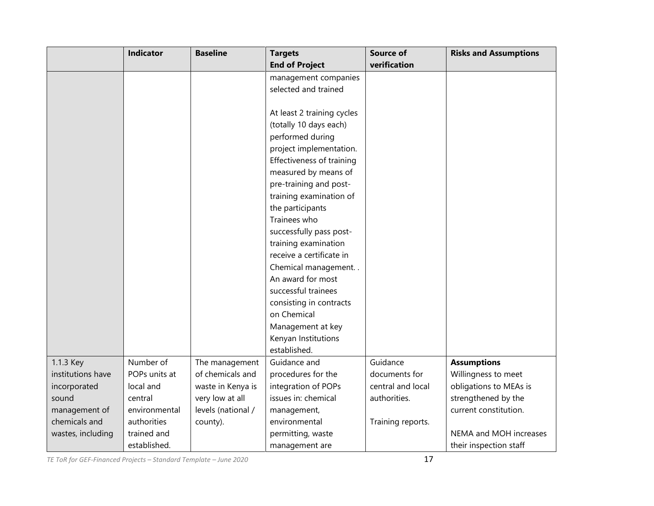|                   | <b>Indicator</b> | <b>Baseline</b>    | <b>Targets</b>             | <b>Source of</b>  | <b>Risks and Assumptions</b> |
|-------------------|------------------|--------------------|----------------------------|-------------------|------------------------------|
|                   |                  |                    | <b>End of Project</b>      | verification      |                              |
|                   |                  |                    | management companies       |                   |                              |
|                   |                  |                    | selected and trained       |                   |                              |
|                   |                  |                    |                            |                   |                              |
|                   |                  |                    | At least 2 training cycles |                   |                              |
|                   |                  |                    | (totally 10 days each)     |                   |                              |
|                   |                  |                    | performed during           |                   |                              |
|                   |                  |                    | project implementation.    |                   |                              |
|                   |                  |                    | Effectiveness of training  |                   |                              |
|                   |                  |                    | measured by means of       |                   |                              |
|                   |                  |                    | pre-training and post-     |                   |                              |
|                   |                  |                    | training examination of    |                   |                              |
|                   |                  |                    | the participants           |                   |                              |
|                   |                  |                    | Trainees who               |                   |                              |
|                   |                  |                    | successfully pass post-    |                   |                              |
|                   |                  |                    | training examination       |                   |                              |
|                   |                  |                    | receive a certificate in   |                   |                              |
|                   |                  |                    | Chemical management        |                   |                              |
|                   |                  |                    | An award for most          |                   |                              |
|                   |                  |                    | successful trainees        |                   |                              |
|                   |                  |                    | consisting in contracts    |                   |                              |
|                   |                  |                    | on Chemical                |                   |                              |
|                   |                  |                    | Management at key          |                   |                              |
|                   |                  |                    | Kenyan Institutions        |                   |                              |
|                   |                  |                    | established.               |                   |                              |
| 1.1.3 Key         | Number of        | The management     | Guidance and               | Guidance          | <b>Assumptions</b>           |
| institutions have | POPs units at    | of chemicals and   | procedures for the         | documents for     | Willingness to meet          |
| incorporated      | local and        | waste in Kenya is  | integration of POPs        | central and local | obligations to MEAs is       |
| sound             | central          | very low at all    | issues in: chemical        | authorities.      | strengthened by the          |
| management of     | environmental    | levels (national / | management,                |                   | current constitution.        |
| chemicals and     | authorities      | county).           | environmental              | Training reports. |                              |
| wastes, including | trained and      |                    | permitting, waste          |                   | NEMA and MOH increases       |
|                   | established.     |                    | management are             |                   | their inspection staff       |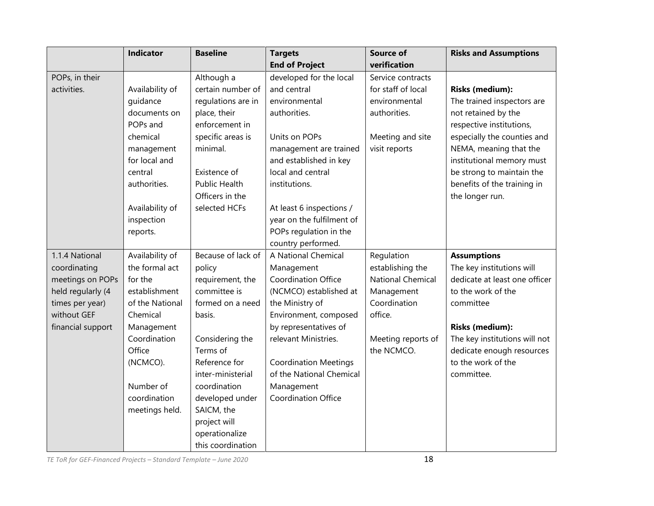|                   | <b>Indicator</b> | <b>Baseline</b>      | <b>Targets</b>               | <b>Source of</b>         | <b>Risks and Assumptions</b>  |
|-------------------|------------------|----------------------|------------------------------|--------------------------|-------------------------------|
|                   |                  |                      | <b>End of Project</b>        | verification             |                               |
| POPs, in their    |                  | Although a           | developed for the local      | Service contracts        |                               |
| activities.       | Availability of  | certain number of    | and central                  | for staff of local       | <b>Risks (medium):</b>        |
|                   | guidance         | regulations are in   | environmental                | environmental            | The trained inspectors are    |
|                   | documents on     | place, their         | authorities.                 | authorities.             | not retained by the           |
|                   | POPs and         | enforcement in       |                              |                          | respective institutions,      |
|                   | chemical         | specific areas is    | Units on POPs                | Meeting and site         | especially the counties and   |
|                   | management       | minimal.             | management are trained       | visit reports            | NEMA, meaning that the        |
|                   | for local and    |                      | and established in key       |                          | institutional memory must     |
|                   | central          | Existence of         | local and central            |                          | be strong to maintain the     |
|                   | authorities.     | <b>Public Health</b> | institutions.                |                          | benefits of the training in   |
|                   |                  | Officers in the      |                              |                          | the longer run.               |
|                   | Availability of  | selected HCFs        | At least 6 inspections /     |                          |                               |
|                   | inspection       |                      | year on the fulfilment of    |                          |                               |
|                   | reports.         |                      | POPs regulation in the       |                          |                               |
|                   |                  |                      | country performed.           |                          |                               |
| 1.1.4 National    | Availability of  | Because of lack of   | A National Chemical          | Regulation               | <b>Assumptions</b>            |
| coordinating      | the formal act   | policy               | Management                   | establishing the         | The key institutions will     |
| meetings on POPs  | for the          | requirement, the     | Coordination Office          | <b>National Chemical</b> | dedicate at least one officer |
| held regularly (4 | establishment    | committee is         | (NCMCO) established at       | Management               | to the work of the            |
| times per year)   | of the National  | formed on a need     | the Ministry of              | Coordination             | committee                     |
| without GEF       | Chemical         | basis.               | Environment, composed        | office.                  |                               |
| financial support | Management       |                      | by representatives of        |                          | <b>Risks (medium):</b>        |
|                   | Coordination     | Considering the      | relevant Ministries.         | Meeting reports of       | The key institutions will not |
|                   | Office           | Terms of             |                              | the NCMCO.               | dedicate enough resources     |
|                   | (NCMCO).         | Reference for        | <b>Coordination Meetings</b> |                          | to the work of the            |
|                   |                  | inter-ministerial    | of the National Chemical     |                          | committee.                    |
|                   | Number of        | coordination         | Management                   |                          |                               |
|                   | coordination     | developed under      | <b>Coordination Office</b>   |                          |                               |
|                   | meetings held.   | SAICM, the           |                              |                          |                               |
|                   |                  | project will         |                              |                          |                               |
|                   |                  | operationalize       |                              |                          |                               |
|                   |                  | this coordination    |                              |                          |                               |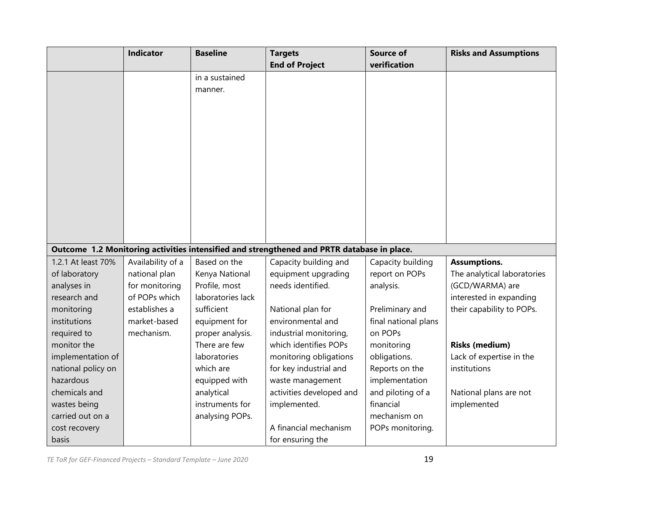|                                 | Indicator         | <b>Baseline</b>                   | <b>Targets</b>                                                                             | <b>Source of</b><br>verification | <b>Risks and Assumptions</b>             |
|---------------------------------|-------------------|-----------------------------------|--------------------------------------------------------------------------------------------|----------------------------------|------------------------------------------|
|                                 |                   | in a sustained                    | <b>End of Project</b>                                                                      |                                  |                                          |
|                                 |                   |                                   |                                                                                            |                                  |                                          |
|                                 |                   | manner.                           |                                                                                            |                                  |                                          |
|                                 |                   |                                   |                                                                                            |                                  |                                          |
|                                 |                   |                                   |                                                                                            |                                  |                                          |
|                                 |                   |                                   |                                                                                            |                                  |                                          |
|                                 |                   |                                   |                                                                                            |                                  |                                          |
|                                 |                   |                                   |                                                                                            |                                  |                                          |
|                                 |                   |                                   |                                                                                            |                                  |                                          |
|                                 |                   |                                   |                                                                                            |                                  |                                          |
|                                 |                   |                                   |                                                                                            |                                  |                                          |
|                                 |                   |                                   |                                                                                            |                                  |                                          |
|                                 |                   |                                   |                                                                                            |                                  |                                          |
|                                 |                   |                                   |                                                                                            |                                  |                                          |
|                                 |                   |                                   |                                                                                            |                                  |                                          |
|                                 |                   |                                   | Outcome 1.2 Monitoring activities intensified and strengthened and PRTR database in place. |                                  |                                          |
| 1.2.1 At least 70%              | Availability of a | Based on the                      | Capacity building and                                                                      | Capacity building                | <b>Assumptions.</b>                      |
| of laboratory                   | national plan     | Kenya National                    | equipment upgrading                                                                        | report on POPs                   | The analytical laboratories              |
| analyses in                     | for monitoring    | Profile, most                     | needs identified.                                                                          | analysis.                        | (GCD/WARMA) are                          |
| research and                    | of POPs which     | laboratories lack                 |                                                                                            |                                  | interested in expanding                  |
| monitoring                      | establishes a     | sufficient                        | National plan for                                                                          | Preliminary and                  | their capability to POPs.                |
| institutions                    | market-based      | equipment for                     | environmental and                                                                          | final national plans             |                                          |
| required to                     | mechanism.        | proper analysis.<br>There are few | industrial monitoring,                                                                     | on POPs                          |                                          |
| monitor the                     |                   |                                   | which identifies POPs                                                                      | monitoring                       | <b>Risks (medium)</b>                    |
| implementation of               |                   | laboratories<br>which are         | monitoring obligations                                                                     | obligations.                     | Lack of expertise in the<br>institutions |
| national policy on<br>hazardous |                   |                                   | for key industrial and                                                                     | Reports on the                   |                                          |
|                                 |                   | equipped with                     | waste management                                                                           | implementation                   |                                          |
| chemicals and<br>wastes being   |                   | analytical<br>instruments for     | activities developed and<br>implemented.                                                   | and piloting of a<br>financial   | National plans are not<br>implemented    |
| carried out on a                |                   |                                   |                                                                                            | mechanism on                     |                                          |
|                                 |                   | analysing POPs.                   | A financial mechanism                                                                      | POPs monitoring.                 |                                          |
| cost recovery                   |                   |                                   |                                                                                            |                                  |                                          |
| basis                           |                   |                                   | for ensuring the                                                                           |                                  |                                          |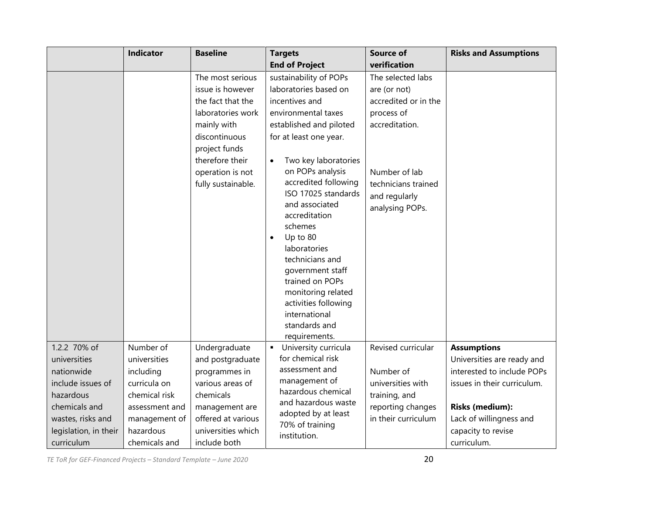|                       | <b>Indicator</b> | <b>Baseline</b>                                                                                                                                                                              | <b>Targets</b>                                                                                                                                                                                                                                                                                                                                                                                                                                                                                          | <b>Source of</b>                                                                                                                                                      | <b>Risks and Assumptions</b> |
|-----------------------|------------------|----------------------------------------------------------------------------------------------------------------------------------------------------------------------------------------------|---------------------------------------------------------------------------------------------------------------------------------------------------------------------------------------------------------------------------------------------------------------------------------------------------------------------------------------------------------------------------------------------------------------------------------------------------------------------------------------------------------|-----------------------------------------------------------------------------------------------------------------------------------------------------------------------|------------------------------|
|                       |                  |                                                                                                                                                                                              | <b>End of Project</b>                                                                                                                                                                                                                                                                                                                                                                                                                                                                                   | verification                                                                                                                                                          |                              |
|                       |                  | The most serious<br>issue is however<br>the fact that the<br>laboratories work<br>mainly with<br>discontinuous<br>project funds<br>therefore their<br>operation is not<br>fully sustainable. | sustainability of POPs<br>laboratories based on<br>incentives and<br>environmental taxes<br>established and piloted<br>for at least one year.<br>Two key laboratories<br>$\bullet$<br>on POPs analysis<br>accredited following<br>ISO 17025 standards<br>and associated<br>accreditation<br>schemes<br>Up to 80<br>$\bullet$<br>laboratories<br>technicians and<br>government staff<br>trained on POPs<br>monitoring related<br>activities following<br>international<br>standards and<br>requirements. | The selected labs<br>are (or not)<br>accredited or in the<br>process of<br>accreditation.<br>Number of lab<br>technicians trained<br>and regularly<br>analysing POPs. |                              |
| 1.2.2 70% of          | Number of        | Undergraduate                                                                                                                                                                                | University curricula<br>$\blacksquare$                                                                                                                                                                                                                                                                                                                                                                                                                                                                  | Revised curricular                                                                                                                                                    | <b>Assumptions</b>           |
| universities          | universities     | and postgraduate                                                                                                                                                                             | for chemical risk                                                                                                                                                                                                                                                                                                                                                                                                                                                                                       |                                                                                                                                                                       | Universities are ready and   |
| nationwide            | including        | programmes in                                                                                                                                                                                | assessment and                                                                                                                                                                                                                                                                                                                                                                                                                                                                                          | Number of                                                                                                                                                             | interested to include POPs   |
| include issues of     | curricula on     | various areas of                                                                                                                                                                             | management of<br>hazardous chemical                                                                                                                                                                                                                                                                                                                                                                                                                                                                     | universities with                                                                                                                                                     | issues in their curriculum.  |
| hazardous             | chemical risk    | chemicals                                                                                                                                                                                    | and hazardous waste                                                                                                                                                                                                                                                                                                                                                                                                                                                                                     | training, and                                                                                                                                                         |                              |
| chemicals and         | assessment and   | management are                                                                                                                                                                               | adopted by at least                                                                                                                                                                                                                                                                                                                                                                                                                                                                                     | reporting changes                                                                                                                                                     | <b>Risks (medium):</b>       |
| wastes, risks and     | management of    | offered at various                                                                                                                                                                           | 70% of training                                                                                                                                                                                                                                                                                                                                                                                                                                                                                         | in their curriculum                                                                                                                                                   | Lack of willingness and      |
| legislation, in their | hazardous        | universities which                                                                                                                                                                           | institution.                                                                                                                                                                                                                                                                                                                                                                                                                                                                                            |                                                                                                                                                                       | capacity to revise           |
| curriculum            | chemicals and    | include both                                                                                                                                                                                 |                                                                                                                                                                                                                                                                                                                                                                                                                                                                                                         |                                                                                                                                                                       | curriculum.                  |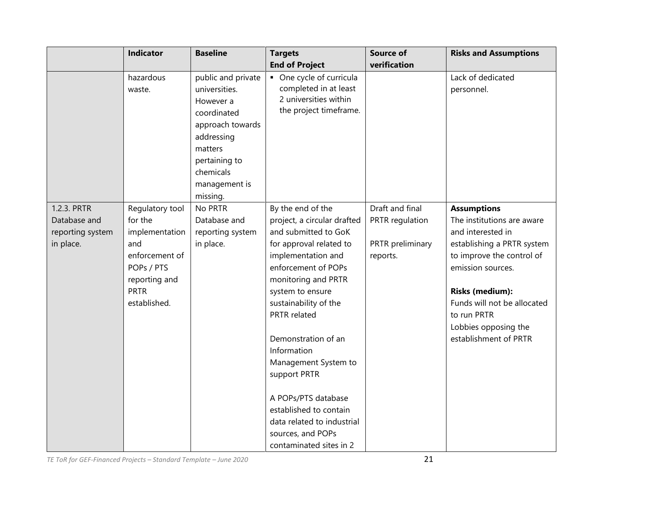|                                                              | Indicator                                                                                                                           | <b>Baseline</b>                                                                                                                            | <b>Targets</b>                                                                                                                                                                                                                                                                                                                                                                                                                                    | Source of                                                          | <b>Risks and Assumptions</b>                                                                                                                                                                                                                                                   |
|--------------------------------------------------------------|-------------------------------------------------------------------------------------------------------------------------------------|--------------------------------------------------------------------------------------------------------------------------------------------|---------------------------------------------------------------------------------------------------------------------------------------------------------------------------------------------------------------------------------------------------------------------------------------------------------------------------------------------------------------------------------------------------------------------------------------------------|--------------------------------------------------------------------|--------------------------------------------------------------------------------------------------------------------------------------------------------------------------------------------------------------------------------------------------------------------------------|
|                                                              |                                                                                                                                     |                                                                                                                                            | <b>End of Project</b>                                                                                                                                                                                                                                                                                                                                                                                                                             | verification                                                       |                                                                                                                                                                                                                                                                                |
|                                                              | hazardous<br>waste.                                                                                                                 | public and private<br>universities.<br>However a<br>coordinated<br>approach towards<br>addressing<br>matters<br>pertaining to<br>chemicals | • One cycle of curricula<br>completed in at least<br>2 universities within<br>the project timeframe.                                                                                                                                                                                                                                                                                                                                              |                                                                    | Lack of dedicated<br>personnel.                                                                                                                                                                                                                                                |
|                                                              |                                                                                                                                     | management is<br>missing.                                                                                                                  |                                                                                                                                                                                                                                                                                                                                                                                                                                                   |                                                                    |                                                                                                                                                                                                                                                                                |
| 1.2.3. PRTR<br>Database and<br>reporting system<br>in place. | Regulatory tool<br>for the<br>implementation<br>and<br>enforcement of<br>POPs / PTS<br>reporting and<br><b>PRTR</b><br>established. | No PRTR<br>Database and<br>reporting system<br>in place.                                                                                   | By the end of the<br>project, a circular drafted<br>and submitted to GoK<br>for approval related to<br>implementation and<br>enforcement of POPs<br>monitoring and PRTR<br>system to ensure<br>sustainability of the<br>PRTR related<br>Demonstration of an<br>Information<br>Management System to<br>support PRTR<br>A POPs/PTS database<br>established to contain<br>data related to industrial<br>sources, and POPs<br>contaminated sites in 2 | Draft and final<br>PRTR regulation<br>PRTR preliminary<br>reports. | <b>Assumptions</b><br>The institutions are aware<br>and interested in<br>establishing a PRTR system<br>to improve the control of<br>emission sources.<br><b>Risks (medium):</b><br>Funds will not be allocated<br>to run PRTR<br>Lobbies opposing the<br>establishment of PRTR |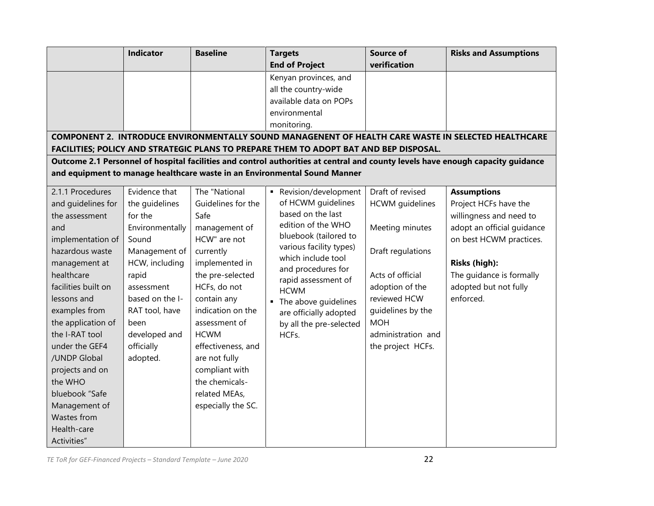|                                                                                                                                                                                                                                                                                                                                                                                                                                                                                      | <b>End of Project</b><br>Kenyan provinces, and<br>all the country-wide<br>available data on POPs<br>environmental                                                                                                                                                                                                   | verification                                                                                                                                                                                                            |                                                                                                                                                                                                                    |
|--------------------------------------------------------------------------------------------------------------------------------------------------------------------------------------------------------------------------------------------------------------------------------------------------------------------------------------------------------------------------------------------------------------------------------------------------------------------------------------|---------------------------------------------------------------------------------------------------------------------------------------------------------------------------------------------------------------------------------------------------------------------------------------------------------------------|-------------------------------------------------------------------------------------------------------------------------------------------------------------------------------------------------------------------------|--------------------------------------------------------------------------------------------------------------------------------------------------------------------------------------------------------------------|
|                                                                                                                                                                                                                                                                                                                                                                                                                                                                                      |                                                                                                                                                                                                                                                                                                                     |                                                                                                                                                                                                                         |                                                                                                                                                                                                                    |
|                                                                                                                                                                                                                                                                                                                                                                                                                                                                                      |                                                                                                                                                                                                                                                                                                                     |                                                                                                                                                                                                                         |                                                                                                                                                                                                                    |
|                                                                                                                                                                                                                                                                                                                                                                                                                                                                                      |                                                                                                                                                                                                                                                                                                                     |                                                                                                                                                                                                                         |                                                                                                                                                                                                                    |
|                                                                                                                                                                                                                                                                                                                                                                                                                                                                                      |                                                                                                                                                                                                                                                                                                                     |                                                                                                                                                                                                                         |                                                                                                                                                                                                                    |
|                                                                                                                                                                                                                                                                                                                                                                                                                                                                                      |                                                                                                                                                                                                                                                                                                                     |                                                                                                                                                                                                                         |                                                                                                                                                                                                                    |
|                                                                                                                                                                                                                                                                                                                                                                                                                                                                                      | monitoring.                                                                                                                                                                                                                                                                                                         |                                                                                                                                                                                                                         |                                                                                                                                                                                                                    |
|                                                                                                                                                                                                                                                                                                                                                                                                                                                                                      |                                                                                                                                                                                                                                                                                                                     |                                                                                                                                                                                                                         | COMPONENT 2. INTRODUCE ENVIRONMENTALLY SOUND MANAGENENT OF HEALTH CARE WASTE IN SELECTED HEALTHCARE                                                                                                                |
|                                                                                                                                                                                                                                                                                                                                                                                                                                                                                      | FACILITIES; POLICY AND STRATEGIC PLANS TO PREPARE THEM TO ADOPT BAT AND BEP DISPOSAL.                                                                                                                                                                                                                               |                                                                                                                                                                                                                         |                                                                                                                                                                                                                    |
|                                                                                                                                                                                                                                                                                                                                                                                                                                                                                      | Outcome 2.1 Personnel of hospital facilities and control authorities at central and county levels have enough capacity guidance                                                                                                                                                                                     |                                                                                                                                                                                                                         |                                                                                                                                                                                                                    |
|                                                                                                                                                                                                                                                                                                                                                                                                                                                                                      | and equipment to manage healthcare waste in an Environmental Sound Manner                                                                                                                                                                                                                                           |                                                                                                                                                                                                                         |                                                                                                                                                                                                                    |
| Evidence that<br>The "National<br>Guidelines for the<br>the guidelines<br>Safe<br>Environmentally<br>management of<br>HCW" are not<br>Management of<br>currently<br>HCW, including<br>implemented in<br>the pre-selected<br>HCFs, do not<br>based on the I-<br>contain any<br>indication on the<br>RAT tool, have<br>assessment of<br>developed and<br><b>HCWM</b><br>effectiveness, and<br>are not fully<br>compliant with<br>the chemicals-<br>related MEAs,<br>especially the SC. | Revision/development<br>of HCWM guidelines<br>based on the last<br>edition of the WHO<br>bluebook (tailored to<br>various facility types)<br>which include tool<br>and procedures for<br>rapid assessment of<br><b>HCWM</b><br>• The above guidelines<br>are officially adopted<br>by all the pre-selected<br>HCFs. | Draft of revised<br><b>HCWM</b> guidelines<br>Meeting minutes<br>Draft regulations<br>Acts of official<br>adoption of the<br>reviewed HCW<br>guidelines by the<br><b>MOH</b><br>administration and<br>the project HCFs. | <b>Assumptions</b><br>Project HCFs have the<br>willingness and need to<br>adopt an official guidance<br>on best HCWM practices.<br>Risks (high):<br>The guidance is formally<br>adopted but not fully<br>enforced. |
|                                                                                                                                                                                                                                                                                                                                                                                                                                                                                      |                                                                                                                                                                                                                                                                                                                     |                                                                                                                                                                                                                         |                                                                                                                                                                                                                    |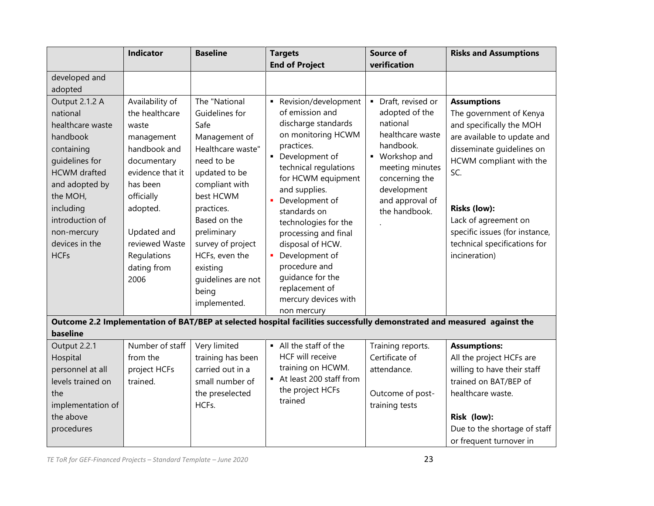|                                                                                                                                                                                                                                                             | <b>Indicator</b>                                                                                                                                                                                                         | <b>Baseline</b>                                                                                                                                                                                                                                                                            | <b>Targets</b><br><b>End of Project</b>                                                                                                                                                                                                                                                                                                                                                                           | <b>Source of</b><br>verification                                                                                                                                                             | <b>Risks and Assumptions</b>                                                                                                                                                                                                                                                                              |
|-------------------------------------------------------------------------------------------------------------------------------------------------------------------------------------------------------------------------------------------------------------|--------------------------------------------------------------------------------------------------------------------------------------------------------------------------------------------------------------------------|--------------------------------------------------------------------------------------------------------------------------------------------------------------------------------------------------------------------------------------------------------------------------------------------|-------------------------------------------------------------------------------------------------------------------------------------------------------------------------------------------------------------------------------------------------------------------------------------------------------------------------------------------------------------------------------------------------------------------|----------------------------------------------------------------------------------------------------------------------------------------------------------------------------------------------|-----------------------------------------------------------------------------------------------------------------------------------------------------------------------------------------------------------------------------------------------------------------------------------------------------------|
| developed and<br>adopted<br>Output 2.1.2 A<br>national<br>healthcare waste<br>handbook<br>containing<br>quidelines for<br><b>HCWM</b> drafted<br>and adopted by<br>the MOH,<br>including<br>introduction of<br>non-mercury<br>devices in the<br><b>HCFs</b> | Availability of<br>the healthcare<br>waste<br>management<br>handbook and<br>documentary<br>evidence that it<br>has been<br>officially<br>adopted.<br>Updated and<br>reviewed Waste<br>Regulations<br>dating from<br>2006 | The "National<br>Guidelines for<br>Safe<br>Management of<br>Healthcare waste"<br>need to be<br>updated to be<br>compliant with<br>best HCWM<br>practices.<br>Based on the<br>preliminary<br>survey of project<br>HCFs, even the<br>existing<br>guidelines are not<br>being<br>implemented. | Revision/development<br>of emission and<br>discharge standards<br>on monitoring HCWM<br>practices.<br>• Development of<br>technical regulations<br>for HCWM equipment<br>and supplies.<br>Development of<br>٠<br>standards on<br>technologies for the<br>processing and final<br>disposal of HCW.<br>Development of<br>procedure and<br>quidance for the<br>replacement of<br>mercury devices with<br>non mercury | • Draft, revised or<br>adopted of the<br>national<br>healthcare waste<br>handbook.<br>• Workshop and<br>meeting minutes<br>concerning the<br>development<br>and approval of<br>the handbook. | <b>Assumptions</b><br>The government of Kenya<br>and specifically the MOH<br>are available to update and<br>disseminate guidelines on<br>HCWM compliant with the<br>SC.<br><b>Risks (low):</b><br>Lack of agreement on<br>specific issues (for instance,<br>technical specifications for<br>incineration) |
| baseline                                                                                                                                                                                                                                                    |                                                                                                                                                                                                                          |                                                                                                                                                                                                                                                                                            | Outcome 2.2 Implementation of BAT/BEP at selected hospital facilities successfully demonstrated and measured against the                                                                                                                                                                                                                                                                                          |                                                                                                                                                                                              |                                                                                                                                                                                                                                                                                                           |
| Output 2.2.1<br>Hospital<br>personnel at all<br>levels trained on<br>the<br>implementation of<br>the above<br>procedures                                                                                                                                    | Number of staff<br>from the<br>project HCFs<br>trained.                                                                                                                                                                  | Very limited<br>training has been<br>carried out in a<br>small number of<br>the preselected<br>HCFs.                                                                                                                                                                                       | • All the staff of the<br><b>HCF will receive</b><br>training on HCWM.<br>At least 200 staff from<br>the project HCFs<br>trained                                                                                                                                                                                                                                                                                  | Training reports.<br>Certificate of<br>attendance.<br>Outcome of post-<br>training tests                                                                                                     | <b>Assumptions:</b><br>All the project HCFs are<br>willing to have their staff<br>trained on BAT/BEP of<br>healthcare waste.<br>Risk (low):<br>Due to the shortage of staff<br>or frequent turnover in                                                                                                    |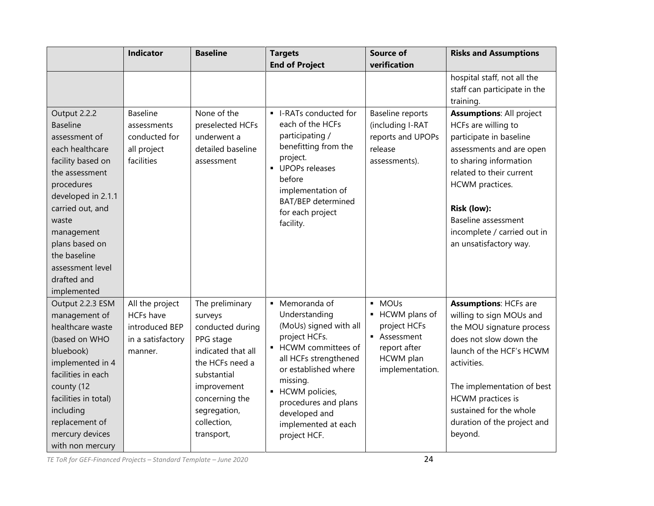|                                     | <b>Indicator</b>  | <b>Baseline</b>             | <b>Targets</b>                        | <b>Source of</b>           | <b>Risks and Assumptions</b>                        |
|-------------------------------------|-------------------|-----------------------------|---------------------------------------|----------------------------|-----------------------------------------------------|
|                                     |                   |                             | <b>End of Project</b>                 | verification               |                                                     |
|                                     |                   |                             |                                       |                            | hospital staff, not all the                         |
|                                     |                   |                             |                                       |                            | staff can participate in the                        |
|                                     |                   |                             |                                       |                            | training.                                           |
| Output 2.2.2                        | Baseline          | None of the                 | - I-RATs conducted for                | Baseline reports           | <b>Assumptions: All project</b>                     |
| <b>Baseline</b>                     | assessments       | preselected HCFs            | each of the HCFs<br>participating /   | (including I-RAT           | HCFs are willing to                                 |
| assessment of                       | conducted for     | underwent a                 | benefitting from the                  | reports and UPOPs          | participate in baseline                             |
| each healthcare                     | all project       | detailed baseline           | project.                              | release                    | assessments and are open                            |
| facility based on<br>the assessment | facilities        | assessment                  | UPOPs releases                        | assessments).              | to sharing information<br>related to their current  |
| procedures                          |                   |                             | before                                |                            | HCWM practices.                                     |
| developed in 2.1.1                  |                   |                             | implementation of                     |                            |                                                     |
| carried out, and                    |                   |                             | <b>BAT/BEP</b> determined             |                            | Risk (low):                                         |
| waste                               |                   |                             | for each project<br>facility.         |                            | Baseline assessment                                 |
| management                          |                   |                             |                                       |                            | incomplete / carried out in                         |
| plans based on                      |                   |                             |                                       |                            | an unsatisfactory way.                              |
| the baseline                        |                   |                             |                                       |                            |                                                     |
| assessment level                    |                   |                             |                                       |                            |                                                     |
| drafted and                         |                   |                             |                                       |                            |                                                     |
| implemented                         |                   |                             |                                       |                            |                                                     |
| Output 2.2.3 ESM                    | All the project   | The preliminary             | • Memoranda of                        | · MOUs                     | <b>Assumptions: HCFs are</b>                        |
| management of                       | <b>HCFs have</b>  | surveys                     | Understanding                         | - HCWM plans of            | willing to sign MOUs and                            |
| healthcare waste                    | introduced BEP    | conducted during            | (MoUs) signed with all                | project HCFs<br>Assessment | the MOU signature process                           |
| (based on WHO                       | in a satisfactory | PPG stage                   | project HCFs.<br>• HCWM committees of | report after               | does not slow down the                              |
| bluebook)                           | manner.           | indicated that all          | all HCFs strengthened                 | HCWM plan                  | launch of the HCF's HCWM                            |
| implemented in 4                    |                   | the HCFs need a             | or established where                  | implementation.            | activities.                                         |
| facilities in each                  |                   | substantial                 | missing.                              |                            |                                                     |
| county (12<br>facilities in total)  |                   | improvement                 | HCWM policies,<br>$\blacksquare$      |                            | The implementation of best                          |
|                                     |                   | concerning the              | procedures and plans                  |                            | <b>HCWM</b> practices is<br>sustained for the whole |
| including<br>replacement of         |                   | segregation,<br>collection, | developed and                         |                            | duration of the project and                         |
| mercury devices                     |                   | transport,                  | implemented at each                   |                            | beyond.                                             |
| with non mercury                    |                   |                             | project HCF.                          |                            |                                                     |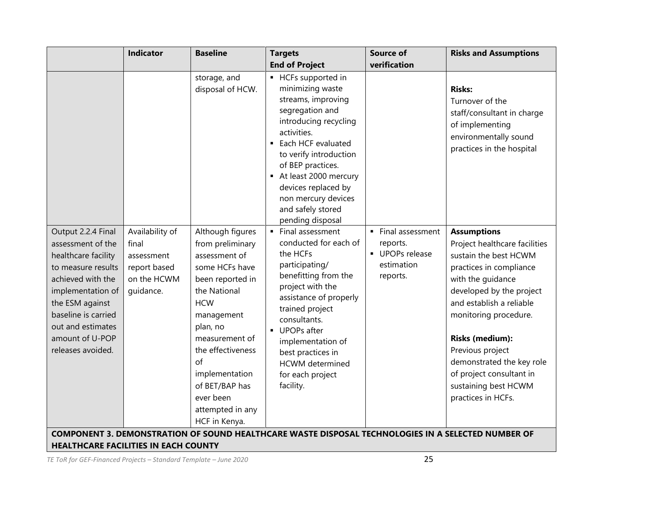|                                                                                                                                                                                                                                       | <b>Indicator</b>                                                                   | <b>Baseline</b>                                                                                                                                                                                                                                                                        | <b>Targets</b>                                                                                                                                                                                                                                                                                                  | <b>Source of</b>                                                        | <b>Risks and Assumptions</b>                                                                                                                                                                                                                                                                                                                                       |
|---------------------------------------------------------------------------------------------------------------------------------------------------------------------------------------------------------------------------------------|------------------------------------------------------------------------------------|----------------------------------------------------------------------------------------------------------------------------------------------------------------------------------------------------------------------------------------------------------------------------------------|-----------------------------------------------------------------------------------------------------------------------------------------------------------------------------------------------------------------------------------------------------------------------------------------------------------------|-------------------------------------------------------------------------|--------------------------------------------------------------------------------------------------------------------------------------------------------------------------------------------------------------------------------------------------------------------------------------------------------------------------------------------------------------------|
|                                                                                                                                                                                                                                       |                                                                                    |                                                                                                                                                                                                                                                                                        | <b>End of Project</b>                                                                                                                                                                                                                                                                                           | verification                                                            |                                                                                                                                                                                                                                                                                                                                                                    |
|                                                                                                                                                                                                                                       |                                                                                    | storage, and<br>disposal of HCW.                                                                                                                                                                                                                                                       | • HCFs supported in<br>minimizing waste<br>streams, improving<br>segregation and<br>introducing recycling<br>activities.<br>• Each HCF evaluated<br>to verify introduction<br>of BEP practices.<br>At least 2000 mercury<br>devices replaced by<br>non mercury devices<br>and safely stored<br>pending disposal |                                                                         | <b>Risks:</b><br>Turnover of the<br>staff/consultant in charge<br>of implementing<br>environmentally sound<br>practices in the hospital                                                                                                                                                                                                                            |
| Output 2.2.4 Final<br>assessment of the<br>healthcare facility<br>to measure results<br>achieved with the<br>implementation of<br>the ESM against<br>baseline is carried<br>out and estimates<br>amount of U-POP<br>releases avoided. | Availability of<br>final<br>assessment<br>report based<br>on the HCWM<br>guidance. | Although figures<br>from preliminary<br>assessment of<br>some HCFs have<br>been reported in<br>the National<br><b>HCW</b><br>management<br>plan, no<br>measurement of<br>the effectiveness<br>of<br>implementation<br>of BET/BAP has<br>ever been<br>attempted in any<br>HCF in Kenya. | Final assessment<br>conducted for each of<br>the HCFs<br>participating/<br>benefitting from the<br>project with the<br>assistance of properly<br>trained project<br>consultants.<br>UPOPs after<br>implementation of<br>best practices in<br><b>HCWM</b> determined<br>for each project<br>facility.            | Final assessment<br>reports.<br>UPOPs release<br>estimation<br>reports. | <b>Assumptions</b><br>Project healthcare facilities<br>sustain the best HCWM<br>practices in compliance<br>with the guidance<br>developed by the project<br>and establish a reliable<br>monitoring procedure.<br><b>Risks (medium):</b><br>Previous project<br>demonstrated the key role<br>of project consultant in<br>sustaining best HCWM<br>practices in HCFs. |
| <b>HEALTHCARE FACILITIES IN EACH COUNTY</b>                                                                                                                                                                                           |                                                                                    |                                                                                                                                                                                                                                                                                        | COMPONENT 3. DEMONSTRATION OF SOUND HEALTHCARE WASTE DISPOSAL TECHNOLOGIES IN A SELECTED NUMBER OF                                                                                                                                                                                                              |                                                                         |                                                                                                                                                                                                                                                                                                                                                                    |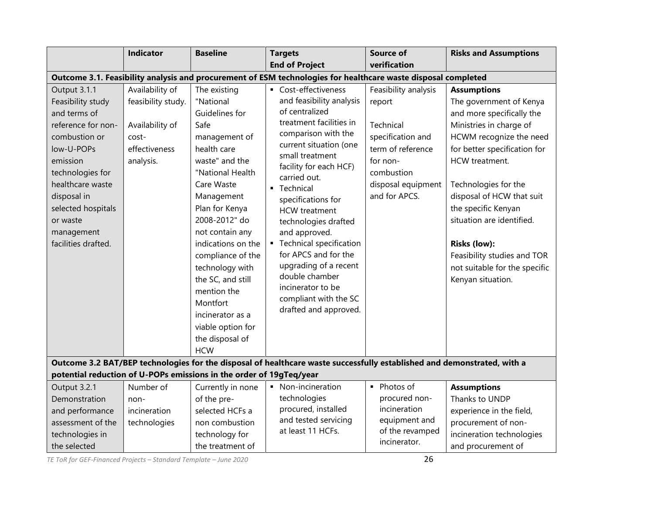|                                                                                                                                                                                                                                                  | <b>Indicator</b>                                                                                | <b>Baseline</b>                                                                                                                                                                                                                                                                                                                                                                                     | <b>Targets</b>                                                                                                                                                                                                                                                                                                                                                                                                                                                                           | <b>Source of</b>                                                                                                                                       | <b>Risks and Assumptions</b>                                                                                                                                                                                                                                                                                                                                                                            |
|--------------------------------------------------------------------------------------------------------------------------------------------------------------------------------------------------------------------------------------------------|-------------------------------------------------------------------------------------------------|-----------------------------------------------------------------------------------------------------------------------------------------------------------------------------------------------------------------------------------------------------------------------------------------------------------------------------------------------------------------------------------------------------|------------------------------------------------------------------------------------------------------------------------------------------------------------------------------------------------------------------------------------------------------------------------------------------------------------------------------------------------------------------------------------------------------------------------------------------------------------------------------------------|--------------------------------------------------------------------------------------------------------------------------------------------------------|---------------------------------------------------------------------------------------------------------------------------------------------------------------------------------------------------------------------------------------------------------------------------------------------------------------------------------------------------------------------------------------------------------|
|                                                                                                                                                                                                                                                  |                                                                                                 |                                                                                                                                                                                                                                                                                                                                                                                                     | <b>End of Project</b>                                                                                                                                                                                                                                                                                                                                                                                                                                                                    | verification                                                                                                                                           |                                                                                                                                                                                                                                                                                                                                                                                                         |
|                                                                                                                                                                                                                                                  |                                                                                                 |                                                                                                                                                                                                                                                                                                                                                                                                     | Outcome 3.1. Feasibility analysis and procurement of ESM technologies for healthcare waste disposal completed                                                                                                                                                                                                                                                                                                                                                                            |                                                                                                                                                        |                                                                                                                                                                                                                                                                                                                                                                                                         |
| Output 3.1.1<br>Feasibility study<br>and terms of<br>reference for non-<br>combustion or<br>low-U-POPs<br>emission<br>technologies for<br>healthcare waste<br>disposal in<br>selected hospitals<br>or waste<br>management<br>facilities drafted. | Availability of<br>feasibility study.<br>Availability of<br>cost-<br>effectiveness<br>analysis. | The existing<br>"National<br>Guidelines for<br>Safe<br>management of<br>health care<br>waste" and the<br>"National Health<br>Care Waste<br>Management<br>Plan for Kenya<br>2008-2012" do<br>not contain any<br>indications on the<br>compliance of the<br>technology with<br>the SC, and still<br>mention the<br>Montfort<br>incinerator as a<br>viable option for<br>the disposal of<br><b>HCW</b> | • Cost-effectiveness<br>and feasibility analysis<br>of centralized<br>treatment facilities in<br>comparison with the<br>current situation (one<br>small treatment<br>facility for each HCF)<br>carried out.<br>• Technical<br>specifications for<br><b>HCW</b> treatment<br>technologies drafted<br>and approved.<br>• Technical specification<br>for APCS and for the<br>upgrading of a recent<br>double chamber<br>incinerator to be<br>compliant with the SC<br>drafted and approved. | Feasibility analysis<br>report<br>Technical<br>specification and<br>term of reference<br>for non-<br>combustion<br>disposal equipment<br>and for APCS. | <b>Assumptions</b><br>The government of Kenya<br>and more specifically the<br>Ministries in charge of<br>HCWM recognize the need<br>for better specification for<br>HCW treatment.<br>Technologies for the<br>disposal of HCW that suit<br>the specific Kenyan<br>situation are identified.<br><b>Risks (low):</b><br>Feasibility studies and TOR<br>not suitable for the specific<br>Kenyan situation. |
|                                                                                                                                                                                                                                                  |                                                                                                 |                                                                                                                                                                                                                                                                                                                                                                                                     | Outcome 3.2 BAT/BEP technologies for the disposal of healthcare waste successfully established and demonstrated, with a                                                                                                                                                                                                                                                                                                                                                                  |                                                                                                                                                        |                                                                                                                                                                                                                                                                                                                                                                                                         |
|                                                                                                                                                                                                                                                  |                                                                                                 |                                                                                                                                                                                                                                                                                                                                                                                                     |                                                                                                                                                                                                                                                                                                                                                                                                                                                                                          |                                                                                                                                                        |                                                                                                                                                                                                                                                                                                                                                                                                         |
|                                                                                                                                                                                                                                                  |                                                                                                 |                                                                                                                                                                                                                                                                                                                                                                                                     |                                                                                                                                                                                                                                                                                                                                                                                                                                                                                          |                                                                                                                                                        |                                                                                                                                                                                                                                                                                                                                                                                                         |
|                                                                                                                                                                                                                                                  |                                                                                                 |                                                                                                                                                                                                                                                                                                                                                                                                     |                                                                                                                                                                                                                                                                                                                                                                                                                                                                                          |                                                                                                                                                        |                                                                                                                                                                                                                                                                                                                                                                                                         |
|                                                                                                                                                                                                                                                  |                                                                                                 |                                                                                                                                                                                                                                                                                                                                                                                                     |                                                                                                                                                                                                                                                                                                                                                                                                                                                                                          |                                                                                                                                                        |                                                                                                                                                                                                                                                                                                                                                                                                         |
|                                                                                                                                                                                                                                                  |                                                                                                 |                                                                                                                                                                                                                                                                                                                                                                                                     | at least 11 HCFs.                                                                                                                                                                                                                                                                                                                                                                                                                                                                        |                                                                                                                                                        |                                                                                                                                                                                                                                                                                                                                                                                                         |
|                                                                                                                                                                                                                                                  |                                                                                                 |                                                                                                                                                                                                                                                                                                                                                                                                     |                                                                                                                                                                                                                                                                                                                                                                                                                                                                                          | incinerator.                                                                                                                                           |                                                                                                                                                                                                                                                                                                                                                                                                         |
| Output 3.2.1<br>Demonstration<br>and performance<br>assessment of the<br>technologies in<br>the selected                                                                                                                                         | Number of<br>non-<br>incineration<br>technologies                                               | potential reduction of U-POPs emissions in the order of 19gTeq/year<br>Currently in none<br>of the pre-<br>selected HCFs a<br>non combustion<br>technology for<br>the treatment of                                                                                                                                                                                                                  | • Non-incineration<br>technologies<br>procured, installed<br>and tested servicing                                                                                                                                                                                                                                                                                                                                                                                                        | • Photos of<br>procured non-<br>incineration<br>equipment and<br>of the revamped                                                                       | <b>Assumptions</b><br>Thanks to UNDP<br>experience in the field,<br>procurement of non-<br>incineration technologies<br>and procurement of                                                                                                                                                                                                                                                              |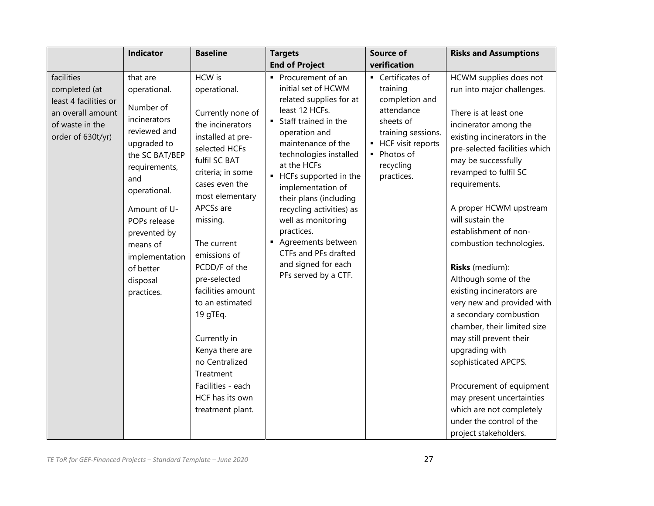|                                                                                                                   | <b>Indicator</b>                                                                                                                                                                                                                                                    | <b>Baseline</b>                                                                                                                                                                                                                                                                                                                                                                                                                                             | <b>Targets</b>                                                                                                                                                                                                                                                                                                                                                                                                                         | <b>Source of</b>                                                                                                                                                  | <b>Risks and Assumptions</b>                                                                                                                                                                                                                                                                                                                                                                                                                                                                                                                                                                                                                                                                                              |
|-------------------------------------------------------------------------------------------------------------------|---------------------------------------------------------------------------------------------------------------------------------------------------------------------------------------------------------------------------------------------------------------------|-------------------------------------------------------------------------------------------------------------------------------------------------------------------------------------------------------------------------------------------------------------------------------------------------------------------------------------------------------------------------------------------------------------------------------------------------------------|----------------------------------------------------------------------------------------------------------------------------------------------------------------------------------------------------------------------------------------------------------------------------------------------------------------------------------------------------------------------------------------------------------------------------------------|-------------------------------------------------------------------------------------------------------------------------------------------------------------------|---------------------------------------------------------------------------------------------------------------------------------------------------------------------------------------------------------------------------------------------------------------------------------------------------------------------------------------------------------------------------------------------------------------------------------------------------------------------------------------------------------------------------------------------------------------------------------------------------------------------------------------------------------------------------------------------------------------------------|
|                                                                                                                   |                                                                                                                                                                                                                                                                     |                                                                                                                                                                                                                                                                                                                                                                                                                                                             | <b>End of Project</b>                                                                                                                                                                                                                                                                                                                                                                                                                  | verification                                                                                                                                                      |                                                                                                                                                                                                                                                                                                                                                                                                                                                                                                                                                                                                                                                                                                                           |
| facilities<br>completed (at<br>least 4 facilities or<br>an overall amount<br>of waste in the<br>order of 630t/yr) | that are<br>operational.<br>Number of<br>incinerators<br>reviewed and<br>upgraded to<br>the SC BAT/BEP<br>requirements,<br>and<br>operational.<br>Amount of U-<br>POPs release<br>prevented by<br>means of<br>implementation<br>of better<br>disposal<br>practices. | HCW is<br>operational.<br>Currently none of<br>the incinerators<br>installed at pre-<br>selected HCFs<br>fulfil SC BAT<br>criteria; in some<br>cases even the<br>most elementary<br>APCSs are<br>missing.<br>The current<br>emissions of<br>PCDD/F of the<br>pre-selected<br>facilities amount<br>to an estimated<br>19 gTEq.<br>Currently in<br>Kenya there are<br>no Centralized<br>Treatment<br>Facilities - each<br>HCF has its own<br>treatment plant. | • Procurement of an<br>initial set of HCWM<br>related supplies for at<br>least 12 HCFs.<br>Staff trained in the<br>operation and<br>maintenance of the<br>technologies installed<br>at the HCFs<br>• HCFs supported in the<br>implementation of<br>their plans (including<br>recycling activities) as<br>well as monitoring<br>practices.<br>Agreements between<br>CTFs and PFs drafted<br>and signed for each<br>PFs served by a CTF. | • Certificates of<br>training<br>completion and<br>attendance<br>sheets of<br>training sessions.<br>• HCF visit reports<br>• Photos of<br>recycling<br>practices. | HCWM supplies does not<br>run into major challenges.<br>There is at least one<br>incinerator among the<br>existing incinerators in the<br>pre-selected facilities which<br>may be successfully<br>revamped to fulfil SC<br>requirements.<br>A proper HCWM upstream<br>will sustain the<br>establishment of non-<br>combustion technologies.<br>Risks (medium):<br>Although some of the<br>existing incinerators are<br>very new and provided with<br>a secondary combustion<br>chamber, their limited size<br>may still prevent their<br>upgrading with<br>sophisticated APCPS.<br>Procurement of equipment<br>may present uncertainties<br>which are not completely<br>under the control of the<br>project stakeholders. |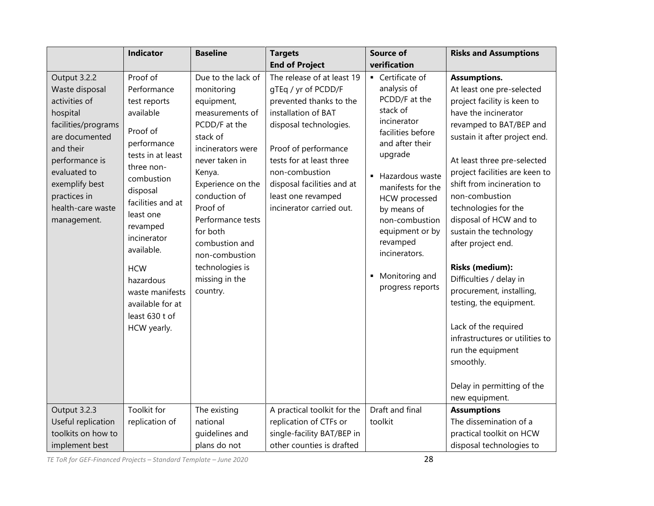|                                                                                                                                                                                                                                           | <b>Indicator</b>                                                                                                                                                                                                                                                                                                                          | <b>Baseline</b>                                                                                                                                                                                                                                                                                                                         | <b>Targets</b>                                                                                                                                                                                                                                                                                                     | <b>Source of</b>                                                                                                                                                                                                                                                                                                                      | <b>Risks and Assumptions</b>                                                                                                                                                                                                                                                                                                                                                                                                                                                                                                                                                                                                                                          |
|-------------------------------------------------------------------------------------------------------------------------------------------------------------------------------------------------------------------------------------------|-------------------------------------------------------------------------------------------------------------------------------------------------------------------------------------------------------------------------------------------------------------------------------------------------------------------------------------------|-----------------------------------------------------------------------------------------------------------------------------------------------------------------------------------------------------------------------------------------------------------------------------------------------------------------------------------------|--------------------------------------------------------------------------------------------------------------------------------------------------------------------------------------------------------------------------------------------------------------------------------------------------------------------|---------------------------------------------------------------------------------------------------------------------------------------------------------------------------------------------------------------------------------------------------------------------------------------------------------------------------------------|-----------------------------------------------------------------------------------------------------------------------------------------------------------------------------------------------------------------------------------------------------------------------------------------------------------------------------------------------------------------------------------------------------------------------------------------------------------------------------------------------------------------------------------------------------------------------------------------------------------------------------------------------------------------------|
|                                                                                                                                                                                                                                           |                                                                                                                                                                                                                                                                                                                                           |                                                                                                                                                                                                                                                                                                                                         | <b>End of Project</b>                                                                                                                                                                                                                                                                                              | verification                                                                                                                                                                                                                                                                                                                          |                                                                                                                                                                                                                                                                                                                                                                                                                                                                                                                                                                                                                                                                       |
| Output 3.2.2<br>Waste disposal<br>activities of<br>hospital<br>facilities/programs<br>are documented<br>and their<br>performance is<br>evaluated to<br>exemplify best<br>practices in<br>health-care waste<br>management.<br>Output 3.2.3 | Proof of<br>Performance<br>test reports<br>available<br>Proof of<br>performance<br>tests in at least<br>three non-<br>combustion<br>disposal<br>facilities and at<br>least one<br>revamped<br>incinerator<br>available.<br><b>HCW</b><br>hazardous<br>waste manifests<br>available for at<br>least 630 t of<br>HCW yearly.<br>Toolkit for | Due to the lack of<br>monitoring<br>equipment,<br>measurements of<br>PCDD/F at the<br>stack of<br>incinerators were<br>never taken in<br>Kenya.<br>Experience on the<br>conduction of<br>Proof of<br>Performance tests<br>for both<br>combustion and<br>non-combustion<br>technologies is<br>missing in the<br>country.<br>The existing | The release of at least 19<br>gTEq / yr of PCDD/F<br>prevented thanks to the<br>installation of BAT<br>disposal technologies.<br>Proof of performance<br>tests for at least three<br>non-combustion<br>disposal facilities and at<br>least one revamped<br>incinerator carried out.<br>A practical toolkit for the | • Certificate of<br>analysis of<br>PCDD/F at the<br>stack of<br>incinerator<br>facilities before<br>and after their<br>upgrade<br>■ Hazardous waste<br>manifests for the<br>HCW processed<br>by means of<br>non-combustion<br>equipment or by<br>revamped<br>incinerators.<br>• Monitoring and<br>progress reports<br>Draft and final | <b>Assumptions.</b><br>At least one pre-selected<br>project facility is keen to<br>have the incinerator<br>revamped to BAT/BEP and<br>sustain it after project end.<br>At least three pre-selected<br>project facilities are keen to<br>shift from incineration to<br>non-combustion<br>technologies for the<br>disposal of HCW and to<br>sustain the technology<br>after project end.<br><b>Risks (medium):</b><br>Difficulties / delay in<br>procurement, installing,<br>testing, the equipment.<br>Lack of the required<br>infrastructures or utilities to<br>run the equipment<br>smoothly.<br>Delay in permitting of the<br>new equipment.<br><b>Assumptions</b> |
| Useful replication                                                                                                                                                                                                                        | replication of                                                                                                                                                                                                                                                                                                                            | national                                                                                                                                                                                                                                                                                                                                | replication of CTFs or                                                                                                                                                                                                                                                                                             | toolkit                                                                                                                                                                                                                                                                                                                               | The dissemination of a                                                                                                                                                                                                                                                                                                                                                                                                                                                                                                                                                                                                                                                |
| toolkits on how to                                                                                                                                                                                                                        |                                                                                                                                                                                                                                                                                                                                           | guidelines and                                                                                                                                                                                                                                                                                                                          | single-facility BAT/BEP in                                                                                                                                                                                                                                                                                         |                                                                                                                                                                                                                                                                                                                                       | practical toolkit on HCW                                                                                                                                                                                                                                                                                                                                                                                                                                                                                                                                                                                                                                              |
| implement best                                                                                                                                                                                                                            |                                                                                                                                                                                                                                                                                                                                           | plans do not                                                                                                                                                                                                                                                                                                                            | other counties is drafted                                                                                                                                                                                                                                                                                          |                                                                                                                                                                                                                                                                                                                                       | disposal technologies to                                                                                                                                                                                                                                                                                                                                                                                                                                                                                                                                                                                                                                              |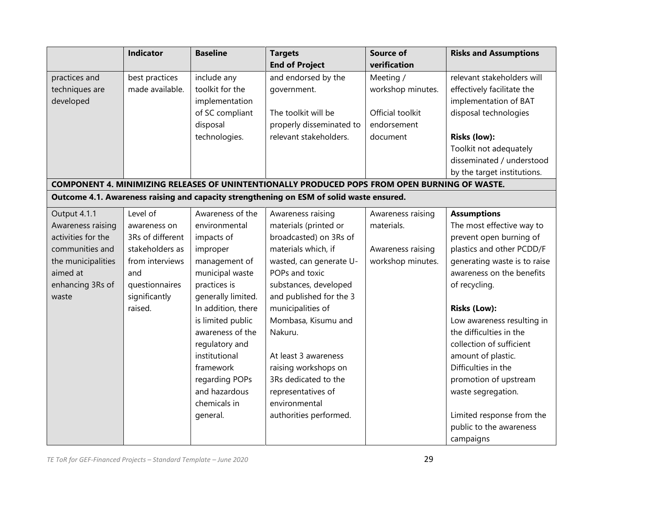|                                                                                                                                           | <b>Indicator</b>                                                                                                                        | <b>Baseline</b>                                                                                                                                                                                                                                                                                                     | <b>Targets</b><br><b>End of Project</b>                                                                                                                                                                                                                                                                                                                                                      | <b>Source of</b><br>verification                                              | <b>Risks and Assumptions</b>                                                                                                                                                                                                                                                                                                                                                                                                                                       |
|-------------------------------------------------------------------------------------------------------------------------------------------|-----------------------------------------------------------------------------------------------------------------------------------------|---------------------------------------------------------------------------------------------------------------------------------------------------------------------------------------------------------------------------------------------------------------------------------------------------------------------|----------------------------------------------------------------------------------------------------------------------------------------------------------------------------------------------------------------------------------------------------------------------------------------------------------------------------------------------------------------------------------------------|-------------------------------------------------------------------------------|--------------------------------------------------------------------------------------------------------------------------------------------------------------------------------------------------------------------------------------------------------------------------------------------------------------------------------------------------------------------------------------------------------------------------------------------------------------------|
| practices and<br>techniques are<br>developed                                                                                              | best practices<br>made available.                                                                                                       | include any<br>toolkit for the<br>implementation<br>of SC compliant<br>disposal<br>technologies.                                                                                                                                                                                                                    | and endorsed by the<br>government.<br>The toolkit will be<br>properly disseminated to<br>relevant stakeholders.                                                                                                                                                                                                                                                                              | Meeting /<br>workshop minutes.<br>Official toolkit<br>endorsement<br>document | relevant stakeholders will<br>effectively facilitate the<br>implementation of BAT<br>disposal technologies<br><b>Risks (low):</b>                                                                                                                                                                                                                                                                                                                                  |
|                                                                                                                                           |                                                                                                                                         |                                                                                                                                                                                                                                                                                                                     | COMPONENT 4. MINIMIZING RELEASES OF UNINTENTIONALLY PRODUCED POPS FROM OPEN BURNING OF WASTE.                                                                                                                                                                                                                                                                                                |                                                                               | Toolkit not adequately<br>disseminated / understood<br>by the target institutions.                                                                                                                                                                                                                                                                                                                                                                                 |
|                                                                                                                                           |                                                                                                                                         |                                                                                                                                                                                                                                                                                                                     | Outcome 4.1. Awareness raising and capacity strengthening on ESM of solid waste ensured.                                                                                                                                                                                                                                                                                                     |                                                                               |                                                                                                                                                                                                                                                                                                                                                                                                                                                                    |
| Output 4.1.1<br>Awareness raising<br>activities for the<br>communities and<br>the municipalities<br>aimed at<br>enhancing 3Rs of<br>waste | Level of<br>awareness on<br>3Rs of different<br>stakeholders as<br>from interviews<br>and<br>questionnaires<br>significantly<br>raised. | Awareness of the<br>environmental<br>impacts of<br>improper<br>management of<br>municipal waste<br>practices is<br>generally limited.<br>In addition, there<br>is limited public<br>awareness of the<br>regulatory and<br>institutional<br>framework<br>regarding POPs<br>and hazardous<br>chemicals in<br>general. | Awareness raising<br>materials (printed or<br>broadcasted) on 3Rs of<br>materials which, if<br>wasted, can generate U-<br>POPs and toxic<br>substances, developed<br>and published for the 3<br>municipalities of<br>Mombasa, Kisumu and<br>Nakuru.<br>At least 3 awareness<br>raising workshops on<br>3Rs dedicated to the<br>representatives of<br>environmental<br>authorities performed. | Awareness raising<br>materials.<br>Awareness raising<br>workshop minutes.     | <b>Assumptions</b><br>The most effective way to<br>prevent open burning of<br>plastics and other PCDD/F<br>generating waste is to raise<br>awareness on the benefits<br>of recycling.<br><b>Risks (Low):</b><br>Low awareness resulting in<br>the difficulties in the<br>collection of sufficient<br>amount of plastic.<br>Difficulties in the<br>promotion of upstream<br>waste segregation.<br>Limited response from the<br>public to the awareness<br>campaigns |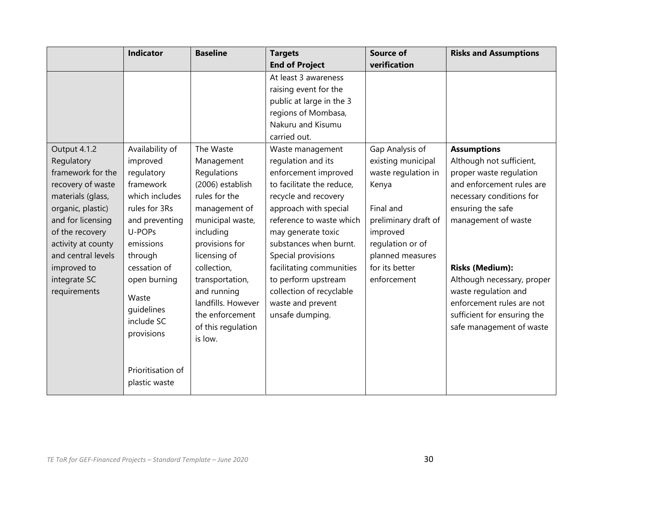|                    | <b>Indicator</b>  | <b>Baseline</b>    | <b>Targets</b>            | <b>Source of</b>     | <b>Risks and Assumptions</b> |
|--------------------|-------------------|--------------------|---------------------------|----------------------|------------------------------|
|                    |                   |                    | <b>End of Project</b>     | verification         |                              |
|                    |                   |                    | At least 3 awareness      |                      |                              |
|                    |                   |                    | raising event for the     |                      |                              |
|                    |                   |                    | public at large in the 3  |                      |                              |
|                    |                   |                    | regions of Mombasa,       |                      |                              |
|                    |                   |                    | Nakuru and Kisumu         |                      |                              |
|                    |                   |                    | carried out.              |                      |                              |
| Output 4.1.2       | Availability of   | The Waste          | Waste management          | Gap Analysis of      | <b>Assumptions</b>           |
| Regulatory         | improved          | Management         | regulation and its        | existing municipal   | Although not sufficient,     |
| framework for the  | regulatory        | Regulations        | enforcement improved      | waste regulation in  | proper waste regulation      |
| recovery of waste  | framework         | (2006) establish   | to facilitate the reduce, | Kenya                | and enforcement rules are    |
| materials (glass,  | which includes    | rules for the      | recycle and recovery      |                      | necessary conditions for     |
| organic, plastic)  | rules for 3Rs     | management of      | approach with special     | Final and            | ensuring the safe            |
| and for licensing  | and preventing    | municipal waste,   | reference to waste which  | preliminary draft of | management of waste          |
| of the recovery    | U-POPs            | including          | may generate toxic        | improved             |                              |
| activity at county | emissions         | provisions for     | substances when burnt.    | regulation or of     |                              |
| and central levels | through           | licensing of       | Special provisions        | planned measures     |                              |
| improved to        | cessation of      | collection,        | facilitating communities  | for its better       | <b>Risks (Medium):</b>       |
| integrate SC       | open burning      | transportation,    | to perform upstream       | enforcement          | Although necessary, proper   |
| requirements       | Waste             | and running        | collection of recyclable  |                      | waste regulation and         |
|                    | quidelines        | landfills. However | waste and prevent         |                      | enforcement rules are not    |
|                    | include SC        | the enforcement    | unsafe dumping.           |                      | sufficient for ensuring the  |
|                    | provisions        | of this regulation |                           |                      | safe management of waste     |
|                    |                   | is low.            |                           |                      |                              |
|                    |                   |                    |                           |                      |                              |
|                    | Prioritisation of |                    |                           |                      |                              |
|                    | plastic waste     |                    |                           |                      |                              |
|                    |                   |                    |                           |                      |                              |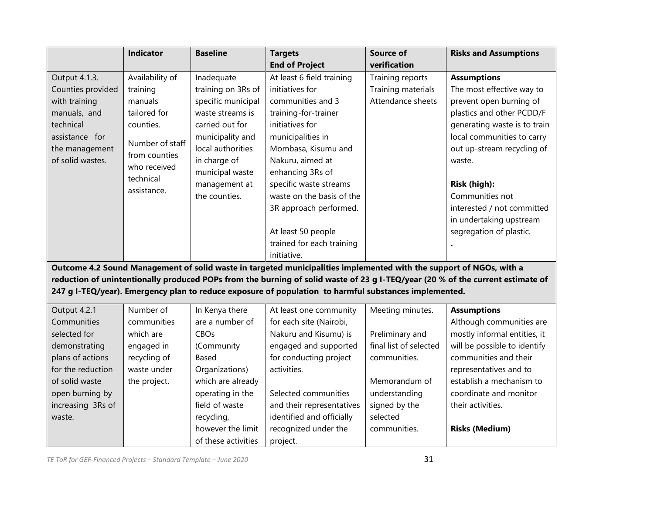|                   | Indicator       | <b>Baseline</b>     | <b>Targets</b>                                                                                                      | Source of              | <b>Risks and Assumptions</b>                                                                                                   |
|-------------------|-----------------|---------------------|---------------------------------------------------------------------------------------------------------------------|------------------------|--------------------------------------------------------------------------------------------------------------------------------|
|                   |                 |                     | <b>End of Project</b>                                                                                               | verification           |                                                                                                                                |
| Output 4.1.3.     | Availability of | Inadequate          | At least 6 field training                                                                                           | Training reports       | <b>Assumptions</b>                                                                                                             |
| Counties provided | training        | training on 3Rs of  | initiatives for                                                                                                     | Training materials     | The most effective way to                                                                                                      |
| with training     | manuals         | specific municipal  | communities and 3                                                                                                   | Attendance sheets      | prevent open burning of                                                                                                        |
| manuals, and      | tailored for    | waste streams is    | training-for-trainer                                                                                                |                        | plastics and other PCDD/F                                                                                                      |
| technical         | counties.       | carried out for     | initiatives for                                                                                                     |                        | generating waste is to train                                                                                                   |
| assistance for    |                 | municipality and    | municipalities in                                                                                                   |                        | local communities to carry                                                                                                     |
| the management    | Number of staff | local authorities   | Mombasa, Kisumu and                                                                                                 |                        | out up-stream recycling of                                                                                                     |
| of solid wastes.  | from counties   | in charge of        | Nakuru, aimed at                                                                                                    |                        | waste.                                                                                                                         |
|                   | who received    | municipal waste     | enhancing 3Rs of                                                                                                    |                        |                                                                                                                                |
|                   | technical       | management at       | specific waste streams                                                                                              |                        | Risk (high):                                                                                                                   |
|                   | assistance.     | the counties.       | waste on the basis of the                                                                                           |                        | Communities not                                                                                                                |
|                   |                 |                     | 3R approach performed.                                                                                              |                        | interested / not committed                                                                                                     |
|                   |                 |                     |                                                                                                                     |                        | in undertaking upstream                                                                                                        |
|                   |                 |                     | At least 50 people                                                                                                  |                        | segregation of plastic.                                                                                                        |
|                   |                 |                     | trained for each training                                                                                           |                        |                                                                                                                                |
|                   |                 |                     | initiative.                                                                                                         |                        |                                                                                                                                |
|                   |                 |                     | Outcome 4.2 Sound Management of solid waste in targeted municipalities implemented with the support of NGOs, with a |                        |                                                                                                                                |
|                   |                 |                     |                                                                                                                     |                        | reduction of unintentionally produced POPs from the burning of solid waste of 23 g I-TEQ/year (20 % of the current estimate of |
|                   |                 |                     | 247 g I-TEQ/year). Emergency plan to reduce exposure of population to harmful substances implemented.               |                        |                                                                                                                                |
|                   |                 |                     |                                                                                                                     |                        |                                                                                                                                |
| Output 4.2.1      | Number of       | In Kenya there      | At least one community                                                                                              | Meeting minutes.       | <b>Assumptions</b>                                                                                                             |
| Communities       | communities     | are a number of     | for each site (Nairobi,                                                                                             |                        | Although communities are                                                                                                       |
| selected for      | which are       | CBOs                | Nakuru and Kisumu) is                                                                                               | Preliminary and        | mostly informal entities, it                                                                                                   |
| demonstrating     | engaged in      | (Community          | engaged and supported                                                                                               | final list of selected | will be possible to identify                                                                                                   |
| plans of actions  | recycling of    | Based               | for conducting project                                                                                              | communities.           | communities and their                                                                                                          |
| for the reduction | waste under     | Organizations)      | activities.                                                                                                         |                        | representatives and to                                                                                                         |
| of solid waste    | the project.    | which are already   |                                                                                                                     | Memorandum of          | establish a mechanism to                                                                                                       |
| open burning by   |                 | operating in the    | Selected communities                                                                                                | understanding          | coordinate and monitor                                                                                                         |
| increasing 3Rs of |                 | field of waste      | and their representatives                                                                                           | signed by the          | their activities.                                                                                                              |
| waste.            |                 | recycling,          | identified and officially                                                                                           | selected               |                                                                                                                                |
|                   |                 | however the limit   | recognized under the                                                                                                | communities.           | <b>Risks (Medium)</b>                                                                                                          |
|                   |                 | of these activities | project.                                                                                                            |                        |                                                                                                                                |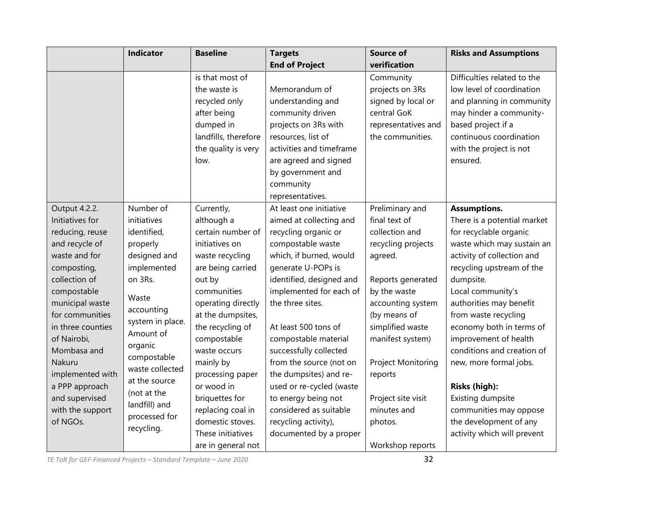|                   | <b>Indicator</b> | <b>Baseline</b>      | <b>Targets</b>           | <b>Source of</b>    | <b>Risks and Assumptions</b> |
|-------------------|------------------|----------------------|--------------------------|---------------------|------------------------------|
|                   |                  |                      | <b>End of Project</b>    | verification        |                              |
|                   |                  | is that most of      |                          | Community           | Difficulties related to the  |
|                   |                  | the waste is         | Memorandum of            | projects on 3Rs     | low level of coordination    |
|                   |                  | recycled only        | understanding and        | signed by local or  | and planning in community    |
|                   |                  | after being          | community driven         | central GoK         | may hinder a community-      |
|                   |                  | dumped in            | projects on 3Rs with     | representatives and | based project if a           |
|                   |                  | landfills, therefore | resources, list of       | the communities.    | continuous coordination      |
|                   |                  | the quality is very  | activities and timeframe |                     | with the project is not      |
|                   |                  | low.                 | are agreed and signed    |                     | ensured.                     |
|                   |                  |                      | by government and        |                     |                              |
|                   |                  |                      | community                |                     |                              |
|                   |                  |                      | representatives.         |                     |                              |
| Output 4.2.2.     | Number of        | Currently,           | At least one initiative  | Preliminary and     | <b>Assumptions.</b>          |
| Initiatives for   | initiatives      | although a           | aimed at collecting and  | final text of       | There is a potential market  |
| reducing, reuse   | identified,      | certain number of    | recycling organic or     | collection and      | for recyclable organic       |
| and recycle of    | properly         | initiatives on       | compostable waste        | recycling projects  | waste which may sustain an   |
| waste and for     | designed and     | waste recycling      | which, if burned, would  | agreed.             | activity of collection and   |
| composting,       | implemented      | are being carried    | generate U-POPs is       |                     | recycling upstream of the    |
| collection of     | on 3Rs.          | out by               | identified, designed and | Reports generated   | dumpsite.                    |
| compostable       | Waste            | communities          | implemented for each of  | by the waste        | Local community's            |
| municipal waste   | accounting       | operating directly   | the three sites.         | accounting system   | authorities may benefit      |
| for communities   | system in place. | at the dumpsites,    |                          | (by means of        | from waste recycling         |
| in three counties | Amount of        | the recycling of     | At least 500 tons of     | simplified waste    | economy both in terms of     |
| of Nairobi,       | organic          | compostable          | compostable material     | manifest system)    | improvement of health        |
| Mombasa and       | compostable      | waste occurs         | successfully collected   |                     | conditions and creation of   |
| Nakuru            | waste collected  | mainly by            | from the source (not on  | Project Monitoring  | new, more formal jobs.       |
| implemented with  | at the source    | processing paper     | the dumpsites) and re-   | reports             |                              |
| a PPP approach    | (not at the      | or wood in           | used or re-cycled (waste |                     | Risks (high):                |
| and supervised    | landfill) and    | briquettes for       | to energy being not      | Project site visit  | Existing dumpsite            |
| with the support  | processed for    | replacing coal in    | considered as suitable   | minutes and         | communities may oppose       |
| of NGOs.          | recycling.       | domestic stoves.     | recycling activity),     | photos.             | the development of any       |
|                   |                  | These initiatives    | documented by a proper   |                     | activity which will prevent  |
|                   |                  | are in general not   |                          | Workshop reports    |                              |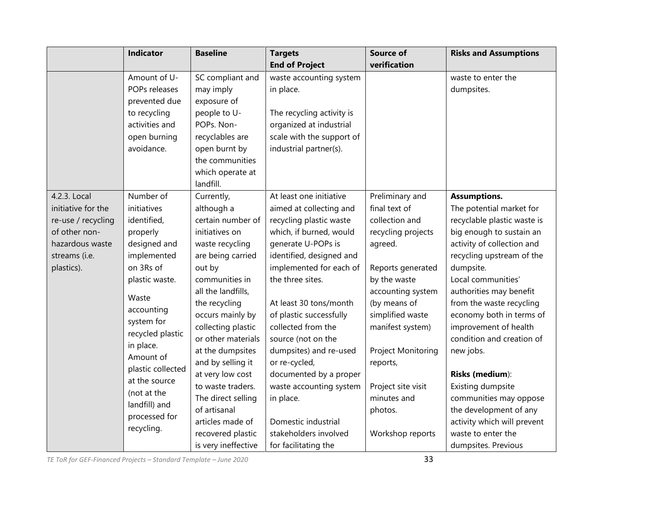|                    | <b>Indicator</b>  | <b>Baseline</b>     | <b>Targets</b>            | <b>Source of</b>   | <b>Risks and Assumptions</b> |
|--------------------|-------------------|---------------------|---------------------------|--------------------|------------------------------|
|                    |                   |                     | <b>End of Project</b>     | verification       |                              |
|                    | Amount of U-      | SC compliant and    | waste accounting system   |                    | waste to enter the           |
|                    | POPs releases     | may imply           | in place.                 |                    | dumpsites.                   |
|                    | prevented due     | exposure of         |                           |                    |                              |
|                    | to recycling      | people to U-        | The recycling activity is |                    |                              |
|                    | activities and    | POPs. Non-          | organized at industrial   |                    |                              |
|                    | open burning      | recyclables are     | scale with the support of |                    |                              |
|                    | avoidance.        | open burnt by       | industrial partner(s).    |                    |                              |
|                    |                   | the communities     |                           |                    |                              |
|                    |                   | which operate at    |                           |                    |                              |
|                    |                   | landfill.           |                           |                    |                              |
| 4.2.3. Local       | Number of         | Currently,          | At least one initiative   | Preliminary and    | <b>Assumptions.</b>          |
| initiative for the | initiatives       | although a          | aimed at collecting and   | final text of      | The potential market for     |
| re-use / recycling | identified,       | certain number of   | recycling plastic waste   | collection and     | recyclable plastic waste is  |
| of other non-      | properly          | initiatives on      | which, if burned, would   | recycling projects | big enough to sustain an     |
| hazardous waste    | designed and      | waste recycling     | generate U-POPs is        | agreed.            | activity of collection and   |
| streams (i.e.      | implemented       | are being carried   | identified, designed and  |                    | recycling upstream of the    |
| plastics).         | on 3Rs of         | out by              | implemented for each of   | Reports generated  | dumpsite.                    |
|                    | plastic waste.    | communities in      | the three sites.          | by the waste       | Local communities'           |
|                    | Waste             | all the landfills,  |                           | accounting system  | authorities may benefit      |
|                    | accounting        | the recycling       | At least 30 tons/month    | (by means of       | from the waste recycling     |
|                    | system for        | occurs mainly by    | of plastic successfully   | simplified waste   | economy both in terms of     |
|                    | recycled plastic  | collecting plastic  | collected from the        | manifest system)   | improvement of health        |
|                    | in place.         | or other materials  | source (not on the        |                    | condition and creation of    |
|                    | Amount of         | at the dumpsites    | dumpsites) and re-used    | Project Monitoring | new jobs.                    |
|                    | plastic collected | and by selling it   | or re-cycled,             | reports,           |                              |
|                    | at the source     | at very low cost    | documented by a proper    |                    | Risks (medium):              |
|                    | (not at the       | to waste traders.   | waste accounting system   | Project site visit | Existing dumpsite            |
|                    | landfill) and     | The direct selling  | in place.                 | minutes and        | communities may oppose       |
|                    | processed for     | of artisanal        |                           | photos.            | the development of any       |
|                    | recycling.        | articles made of    | Domestic industrial       |                    | activity which will prevent  |
|                    |                   | recovered plastic   | stakeholders involved     | Workshop reports   | waste to enter the           |
|                    |                   | is very ineffective | for facilitating the      |                    | dumpsites. Previous          |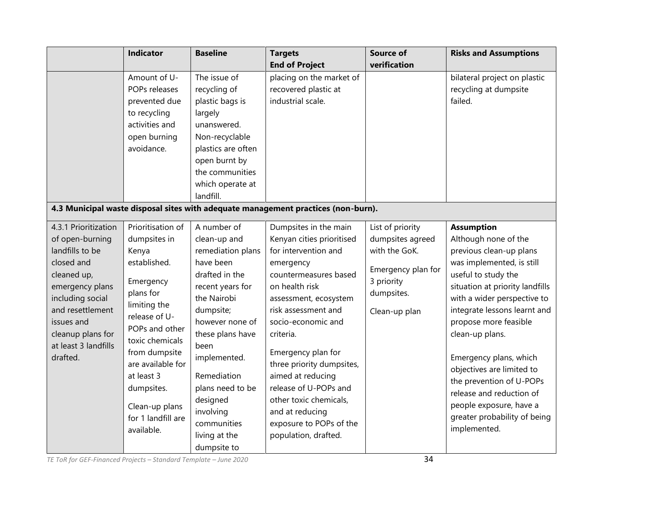|                                                                                                                                                                                                                           | <b>Indicator</b>                                                                                                                                                                                                                                                                   | <b>Baseline</b>                                                                                                                                                                                                                                                                                           | <b>Targets</b><br><b>End of Project</b>                                                                                                                                                                                                                                                                                                                                                                                | <b>Source of</b><br>verification                                                                                         | <b>Risks and Assumptions</b>                                                                                                                                                                                                                                                                                                                                                                                                                                     |
|---------------------------------------------------------------------------------------------------------------------------------------------------------------------------------------------------------------------------|------------------------------------------------------------------------------------------------------------------------------------------------------------------------------------------------------------------------------------------------------------------------------------|-----------------------------------------------------------------------------------------------------------------------------------------------------------------------------------------------------------------------------------------------------------------------------------------------------------|------------------------------------------------------------------------------------------------------------------------------------------------------------------------------------------------------------------------------------------------------------------------------------------------------------------------------------------------------------------------------------------------------------------------|--------------------------------------------------------------------------------------------------------------------------|------------------------------------------------------------------------------------------------------------------------------------------------------------------------------------------------------------------------------------------------------------------------------------------------------------------------------------------------------------------------------------------------------------------------------------------------------------------|
|                                                                                                                                                                                                                           | Amount of U-<br>POPs releases<br>prevented due<br>to recycling<br>activities and<br>open burning<br>avoidance.                                                                                                                                                                     | The issue of<br>recycling of<br>plastic bags is<br>largely<br>unanswered.<br>Non-recyclable<br>plastics are often<br>open burnt by<br>the communities<br>which operate at<br>landfill.                                                                                                                    | placing on the market of<br>recovered plastic at<br>industrial scale.                                                                                                                                                                                                                                                                                                                                                  |                                                                                                                          | bilateral project on plastic<br>recycling at dumpsite<br>failed.                                                                                                                                                                                                                                                                                                                                                                                                 |
|                                                                                                                                                                                                                           |                                                                                                                                                                                                                                                                                    |                                                                                                                                                                                                                                                                                                           | 4.3 Municipal waste disposal sites with adequate management practices (non-burn).                                                                                                                                                                                                                                                                                                                                      |                                                                                                                          |                                                                                                                                                                                                                                                                                                                                                                                                                                                                  |
| 4.3.1 Prioritization<br>of open-burning<br>landfills to be<br>closed and<br>cleaned up,<br>emergency plans<br>including social<br>and resettlement<br>issues and<br>cleanup plans for<br>at least 3 landfills<br>drafted. | Prioritisation of<br>dumpsites in<br>Kenya<br>established.<br>Emergency<br>plans for<br>limiting the<br>release of U-<br>POPs and other<br>toxic chemicals<br>from dumpsite<br>are available for<br>at least 3<br>dumpsites.<br>Clean-up plans<br>for 1 landfill are<br>available. | A number of<br>clean-up and<br>remediation plans<br>have been<br>drafted in the<br>recent years for<br>the Nairobi<br>dumpsite;<br>however none of<br>these plans have<br>been<br>implemented.<br>Remediation<br>plans need to be<br>designed<br>involving<br>communities<br>living at the<br>dumpsite to | Dumpsites in the main<br>Kenyan cities prioritised<br>for intervention and<br>emergency<br>countermeasures based<br>on health risk<br>assessment, ecosystem<br>risk assessment and<br>socio-economic and<br>criteria.<br>Emergency plan for<br>three priority dumpsites,<br>aimed at reducing<br>release of U-POPs and<br>other toxic chemicals,<br>and at reducing<br>exposure to POPs of the<br>population, drafted. | List of priority<br>dumpsites agreed<br>with the GoK.<br>Emergency plan for<br>3 priority<br>dumpsites.<br>Clean-up plan | <b>Assumption</b><br>Although none of the<br>previous clean-up plans<br>was implemented, is still<br>useful to study the<br>situation at priority landfills<br>with a wider perspective to<br>integrate lessons learnt and<br>propose more feasible<br>clean-up plans.<br>Emergency plans, which<br>objectives are limited to<br>the prevention of U-POPs<br>release and reduction of<br>people exposure, have a<br>greater probability of being<br>implemented. |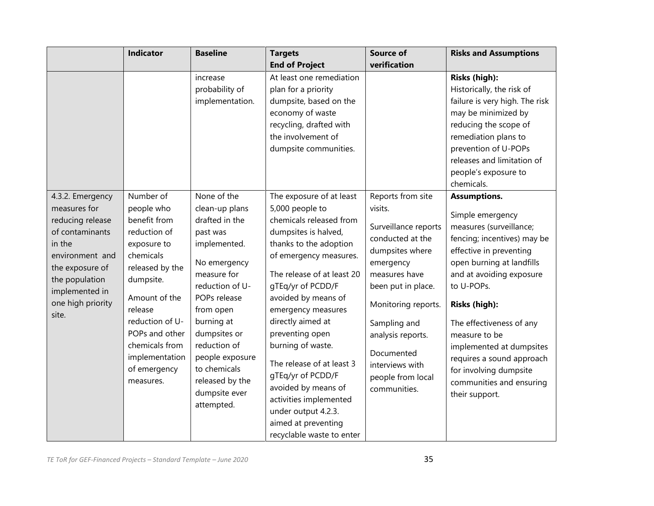|                                                                                                                                                                                           | <b>Indicator</b>                                                                                                                                                                                                                                      | <b>Baseline</b>                                                                                                                                                                                                                                                                               | <b>Targets</b>                                                                                                                                                                                                                                                                                                                                                                                                                                                                                | <b>Source of</b>                                                                                                                                                                                                                                                                  | <b>Risks and Assumptions</b>                                                                                                                                                                                                                                                                                                                                                                |
|-------------------------------------------------------------------------------------------------------------------------------------------------------------------------------------------|-------------------------------------------------------------------------------------------------------------------------------------------------------------------------------------------------------------------------------------------------------|-----------------------------------------------------------------------------------------------------------------------------------------------------------------------------------------------------------------------------------------------------------------------------------------------|-----------------------------------------------------------------------------------------------------------------------------------------------------------------------------------------------------------------------------------------------------------------------------------------------------------------------------------------------------------------------------------------------------------------------------------------------------------------------------------------------|-----------------------------------------------------------------------------------------------------------------------------------------------------------------------------------------------------------------------------------------------------------------------------------|---------------------------------------------------------------------------------------------------------------------------------------------------------------------------------------------------------------------------------------------------------------------------------------------------------------------------------------------------------------------------------------------|
|                                                                                                                                                                                           |                                                                                                                                                                                                                                                       |                                                                                                                                                                                                                                                                                               | <b>End of Project</b>                                                                                                                                                                                                                                                                                                                                                                                                                                                                         | verification                                                                                                                                                                                                                                                                      |                                                                                                                                                                                                                                                                                                                                                                                             |
|                                                                                                                                                                                           |                                                                                                                                                                                                                                                       | increase<br>probability of<br>implementation.                                                                                                                                                                                                                                                 | At least one remediation<br>plan for a priority<br>dumpsite, based on the<br>economy of waste<br>recycling, drafted with<br>the involvement of<br>dumpsite communities.                                                                                                                                                                                                                                                                                                                       |                                                                                                                                                                                                                                                                                   | Risks (high):<br>Historically, the risk of<br>failure is very high. The risk<br>may be minimized by<br>reducing the scope of<br>remediation plans to<br>prevention of U-POPs<br>releases and limitation of<br>people's exposure to<br>chemicals.                                                                                                                                            |
| 4.3.2. Emergency<br>measures for<br>reducing release<br>of contaminants<br>in the<br>environment and<br>the exposure of<br>the population<br>implemented in<br>one high priority<br>site. | Number of<br>people who<br>benefit from<br>reduction of<br>exposure to<br>chemicals<br>released by the<br>dumpsite.<br>Amount of the<br>release<br>reduction of U-<br>POPs and other<br>chemicals from<br>implementation<br>of emergency<br>measures. | None of the<br>clean-up plans<br>drafted in the<br>past was<br>implemented.<br>No emergency<br>measure for<br>reduction of U-<br>POPs release<br>from open<br>burning at<br>dumpsites or<br>reduction of<br>people exposure<br>to chemicals<br>released by the<br>dumpsite ever<br>attempted. | The exposure of at least<br>5,000 people to<br>chemicals released from<br>dumpsites is halved,<br>thanks to the adoption<br>of emergency measures.<br>The release of at least 20<br>gTEq/yr of PCDD/F<br>avoided by means of<br>emergency measures<br>directly aimed at<br>preventing open<br>burning of waste.<br>The release of at least 3<br>gTEq/yr of PCDD/F<br>avoided by means of<br>activities implemented<br>under output 4.2.3.<br>aimed at preventing<br>recyclable waste to enter | Reports from site<br>visits.<br>Surveillance reports<br>conducted at the<br>dumpsites where<br>emergency<br>measures have<br>been put in place.<br>Monitoring reports.<br>Sampling and<br>analysis reports.<br>Documented<br>interviews with<br>people from local<br>communities. | Assumptions.<br>Simple emergency<br>measures (surveillance;<br>fencing; incentives) may be<br>effective in preventing<br>open burning at landfills<br>and at avoiding exposure<br>to U-POPs.<br>Risks (high):<br>The effectiveness of any<br>measure to be<br>implemented at dumpsites<br>requires a sound approach<br>for involving dumpsite<br>communities and ensuring<br>their support. |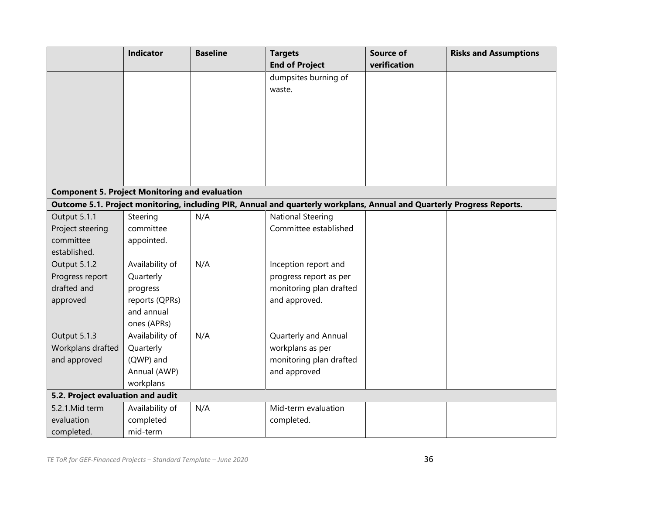|                                                       | Indicator       | <b>Baseline</b> | <b>Targets</b>                                                                                                         | <b>Source of</b> | <b>Risks and Assumptions</b> |
|-------------------------------------------------------|-----------------|-----------------|------------------------------------------------------------------------------------------------------------------------|------------------|------------------------------|
|                                                       |                 |                 | <b>End of Project</b>                                                                                                  | verification     |                              |
|                                                       |                 |                 | dumpsites burning of                                                                                                   |                  |                              |
|                                                       |                 |                 | waste.                                                                                                                 |                  |                              |
|                                                       |                 |                 |                                                                                                                        |                  |                              |
|                                                       |                 |                 |                                                                                                                        |                  |                              |
|                                                       |                 |                 |                                                                                                                        |                  |                              |
|                                                       |                 |                 |                                                                                                                        |                  |                              |
|                                                       |                 |                 |                                                                                                                        |                  |                              |
|                                                       |                 |                 |                                                                                                                        |                  |                              |
|                                                       |                 |                 |                                                                                                                        |                  |                              |
| <b>Component 5. Project Monitoring and evaluation</b> |                 |                 |                                                                                                                        |                  |                              |
|                                                       |                 |                 | Outcome 5.1. Project monitoring, including PIR, Annual and quarterly workplans, Annual and Quarterly Progress Reports. |                  |                              |
| Output 5.1.1                                          | Steering        | N/A             | <b>National Steering</b>                                                                                               |                  |                              |
| Project steering                                      | committee       |                 | Committee established                                                                                                  |                  |                              |
| committee                                             | appointed.      |                 |                                                                                                                        |                  |                              |
| established.                                          |                 |                 |                                                                                                                        |                  |                              |
| Output 5.1.2                                          | Availability of | N/A             | Inception report and                                                                                                   |                  |                              |
| Progress report                                       | Quarterly       |                 | progress report as per                                                                                                 |                  |                              |
| drafted and                                           | progress        |                 | monitoring plan drafted                                                                                                |                  |                              |
| approved                                              | reports (QPRs)  |                 | and approved.                                                                                                          |                  |                              |
|                                                       | and annual      |                 |                                                                                                                        |                  |                              |
|                                                       | ones (APRs)     |                 |                                                                                                                        |                  |                              |
| Output 5.1.3                                          | Availability of | N/A             | Quarterly and Annual                                                                                                   |                  |                              |
| Workplans drafted                                     | Quarterly       |                 | workplans as per                                                                                                       |                  |                              |
| and approved                                          | (QWP) and       |                 | monitoring plan drafted                                                                                                |                  |                              |
|                                                       | Annual (AWP)    |                 | and approved                                                                                                           |                  |                              |
|                                                       | workplans       |                 |                                                                                                                        |                  |                              |
| 5.2. Project evaluation and audit                     |                 |                 |                                                                                                                        |                  |                              |
| 5.2.1. Mid term                                       | Availability of | N/A             | Mid-term evaluation                                                                                                    |                  |                              |
| evaluation                                            | completed       |                 | completed.                                                                                                             |                  |                              |
| completed.                                            | mid-term        |                 |                                                                                                                        |                  |                              |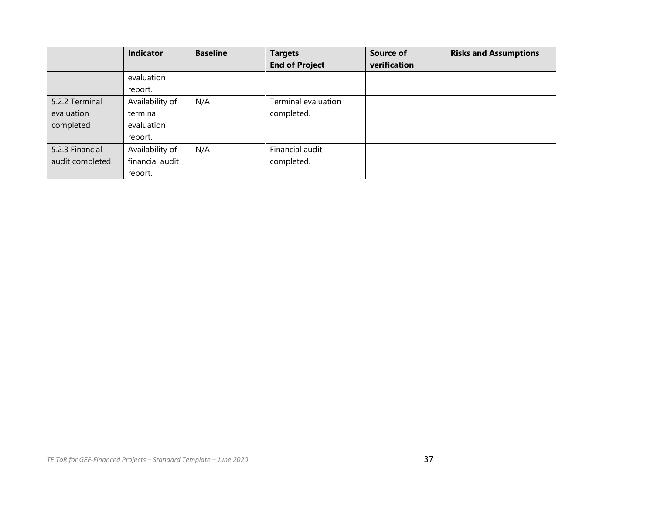|                  | <b>Indicator</b> | <b>Baseline</b> | <b>Targets</b>        | <b>Source of</b> | <b>Risks and Assumptions</b> |
|------------------|------------------|-----------------|-----------------------|------------------|------------------------------|
|                  |                  |                 | <b>End of Project</b> | verification     |                              |
|                  | evaluation       |                 |                       |                  |                              |
|                  | report.          |                 |                       |                  |                              |
| 5.2.2 Terminal   | Availability of  | N/A             | Terminal evaluation   |                  |                              |
| evaluation       | terminal         |                 | completed.            |                  |                              |
| completed        | evaluation       |                 |                       |                  |                              |
|                  | report.          |                 |                       |                  |                              |
| 5.2.3 Financial  | Availability of  | N/A             | Financial audit       |                  |                              |
| audit completed. | financial audit  |                 | completed.            |                  |                              |
|                  | report.          |                 |                       |                  |                              |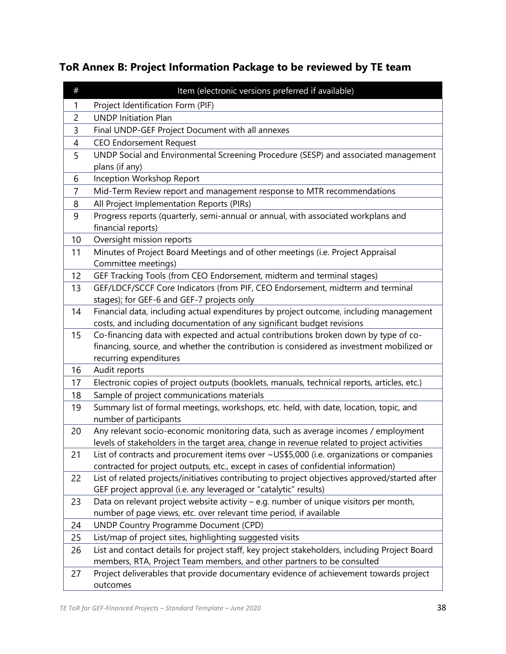# **ToR Annex B: Project Information Package to be reviewed by TE team**

| $\#$           | Item (electronic versions preferred if available)                                                                                                                                    |
|----------------|--------------------------------------------------------------------------------------------------------------------------------------------------------------------------------------|
| 1              | Project Identification Form (PIF)                                                                                                                                                    |
| 2              | <b>UNDP Initiation Plan</b>                                                                                                                                                          |
| 3              | Final UNDP-GEF Project Document with all annexes                                                                                                                                     |
| $\overline{4}$ | <b>CEO Endorsement Request</b>                                                                                                                                                       |
| 5              | UNDP Social and Environmental Screening Procedure (SESP) and associated management                                                                                                   |
|                | plans (if any)                                                                                                                                                                       |
| 6              | Inception Workshop Report                                                                                                                                                            |
| 7              | Mid-Term Review report and management response to MTR recommendations                                                                                                                |
| 8              | All Project Implementation Reports (PIRs)                                                                                                                                            |
| 9              | Progress reports (quarterly, semi-annual or annual, with associated workplans and                                                                                                    |
|                | financial reports)                                                                                                                                                                   |
| 10             | Oversight mission reports                                                                                                                                                            |
| 11             | Minutes of Project Board Meetings and of other meetings (i.e. Project Appraisal                                                                                                      |
|                | Committee meetings)                                                                                                                                                                  |
| 12             | GEF Tracking Tools (from CEO Endorsement, midterm and terminal stages)                                                                                                               |
| 13             | GEF/LDCF/SCCF Core Indicators (from PIF, CEO Endorsement, midterm and terminal                                                                                                       |
|                | stages); for GEF-6 and GEF-7 projects only                                                                                                                                           |
| 14             | Financial data, including actual expenditures by project outcome, including management                                                                                               |
|                | costs, and including documentation of any significant budget revisions                                                                                                               |
| 15             | Co-financing data with expected and actual contributions broken down by type of co-                                                                                                  |
|                | financing, source, and whether the contribution is considered as investment mobilized or                                                                                             |
|                | recurring expenditures                                                                                                                                                               |
| 16             | Audit reports                                                                                                                                                                        |
| 17             | Electronic copies of project outputs (booklets, manuals, technical reports, articles, etc.)                                                                                          |
| 18             | Sample of project communications materials                                                                                                                                           |
| 19             | Summary list of formal meetings, workshops, etc. held, with date, location, topic, and                                                                                               |
|                | number of participants                                                                                                                                                               |
| 20             | Any relevant socio-economic monitoring data, such as average incomes / employment                                                                                                    |
|                | levels of stakeholders in the target area, change in revenue related to project activities                                                                                           |
| 21             | List of contracts and procurement items over ~US\$5,000 (i.e. organizations or companies                                                                                             |
|                | contracted for project outputs, etc., except in cases of confidential information)<br>List of related projects/initiatives contributing to project objectives approved/started after |
| 22             | GEF project approval (i.e. any leveraged or "catalytic" results)                                                                                                                     |
| 23             | Data on relevant project website activity - e.g. number of unique visitors per month,                                                                                                |
|                | number of page views, etc. over relevant time period, if available                                                                                                                   |
| 24             | <b>UNDP Country Programme Document (CPD)</b>                                                                                                                                         |
| 25             | List/map of project sites, highlighting suggested visits                                                                                                                             |
| 26             | List and contact details for project staff, key project stakeholders, including Project Board                                                                                        |
|                | members, RTA, Project Team members, and other partners to be consulted                                                                                                               |
| 27             | Project deliverables that provide documentary evidence of achievement towards project                                                                                                |
|                | outcomes                                                                                                                                                                             |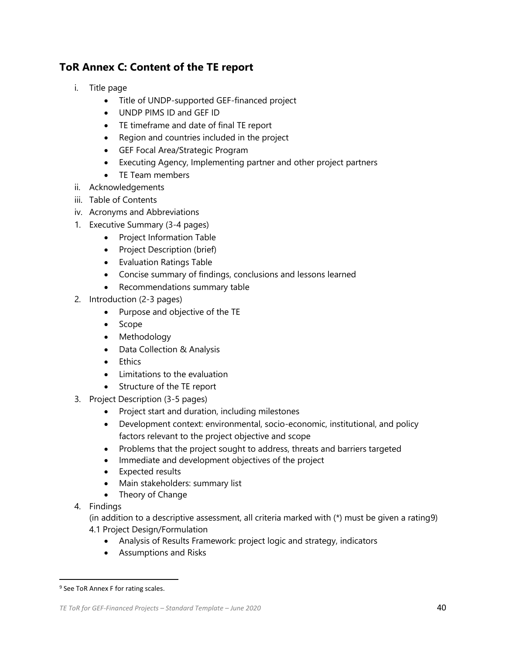## **ToR Annex C: Content of the TE report**

- i. Title page
	- Title of UNDP-supported GEF-financed project
	- UNDP PIMS ID and GEF ID
	- TE timeframe and date of final TE report
	- Region and countries included in the project
	- GEF Focal Area/Strategic Program
	- Executing Agency, Implementing partner and other project partners
	- TE Team members
- ii. Acknowledgements
- iii. Table of Contents
- iv. Acronyms and Abbreviations
- 1. Executive Summary (3-4 pages)
	- Project Information Table
	- Project Description (brief)
	- Evaluation Ratings Table
	- Concise summary of findings, conclusions and lessons learned
	- Recommendations summary table
- 2. Introduction (2-3 pages)
	- Purpose and objective of the TE
	- Scope
	- Methodology
	- Data Collection & Analysis
	- Ethics
	- Limitations to the evaluation
	- Structure of the TE report
- 3. Project Description (3-5 pages)
	- Project start and duration, including milestones
	- Development context: environmental, socio-economic, institutional, and policy factors relevant to the project objective and scope
	- Problems that the project sought to address, threats and barriers targeted
	- Immediate and development objectives of the project
	- Expected results
	- Main stakeholders: summary list
	- Theory of Change
- 4. Findings

(in addition to a descriptive assessment, all criteria marked with (\*) must be given a rating9) 4.1 Project Design/Formulation

- Analysis of Results Framework: project logic and strategy, indicators
- Assumptions and Risks

<sup>&</sup>lt;sup>9</sup> See ToR Annex F for rating scales.

*TE ToR for GEF-Financed Projects – Standard Template – June 2020* 40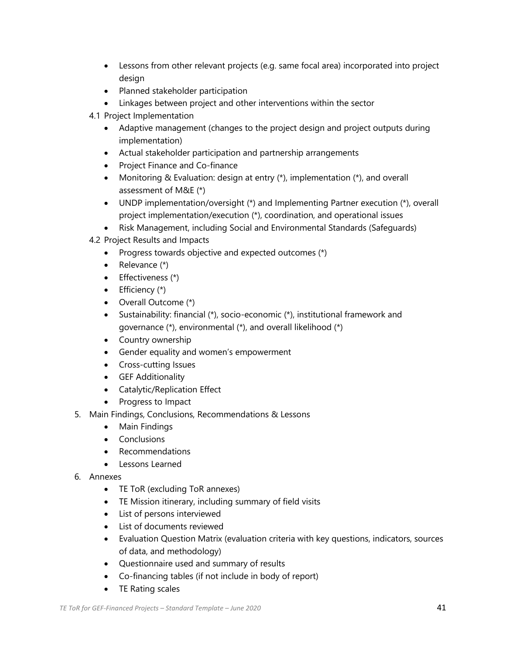- Lessons from other relevant projects (e.g. same focal area) incorporated into project design
- Planned stakeholder participation
- Linkages between project and other interventions within the sector
- 4.1 Project Implementation
	- Adaptive management (changes to the project design and project outputs during implementation)
	- Actual stakeholder participation and partnership arrangements
	- Project Finance and Co-finance
	- Monitoring & Evaluation: design at entry (\*), implementation (\*), and overall assessment of M&E (\*)
	- UNDP implementation/oversight (\*) and Implementing Partner execution (\*), overall project implementation/execution (\*), coordination, and operational issues
	- Risk Management, including Social and Environmental Standards (Safeguards)
- 4.2 Project Results and Impacts
	- Progress towards objective and expected outcomes (\*)
	- Relevance (\*)
	- Effectiveness (\*)
	- $\bullet$  Efficiency  $(*)$
	- Overall Outcome (\*)
	- Sustainability: financial (\*), socio-economic (\*), institutional framework and governance (\*), environmental (\*), and overall likelihood (\*)
	- Country ownership
	- Gender equality and women's empowerment
	- Cross-cutting Issues
	- GEF Additionality
	- Catalytic/Replication Effect
	- Progress to Impact
- 5. Main Findings, Conclusions, Recommendations & Lessons
	- Main Findings
	- Conclusions
	- Recommendations
	- Lessons Learned
- 6. Annexes
	- TE ToR (excluding ToR annexes)
	- TE Mission itinerary, including summary of field visits
	- List of persons interviewed
	- List of documents reviewed
	- Evaluation Question Matrix (evaluation criteria with key questions, indicators, sources of data, and methodology)
	- Questionnaire used and summary of results
	- Co-financing tables (if not include in body of report)
	- TE Rating scales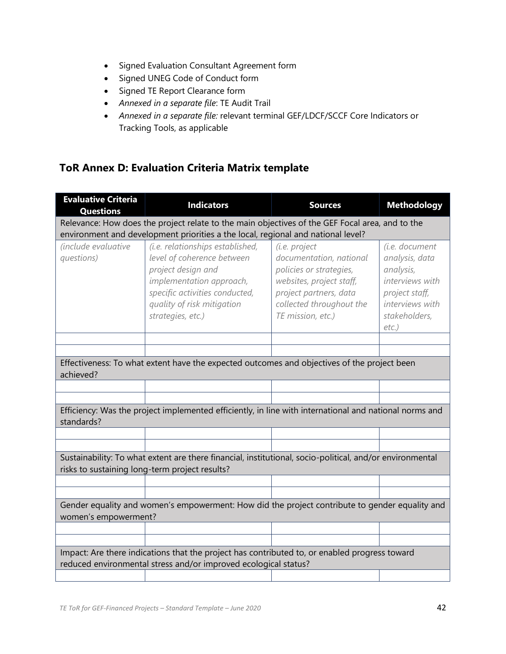- Signed Evaluation Consultant Agreement form
- Signed UNEG Code of Conduct form
- Signed TE Report Clearance form
- *Annexed in a separate file*: TE Audit Trail
- *Annexed in a separate file:* relevant terminal GEF/LDCF/SCCF Core Indicators or Tracking Tools, as applicable

## **ToR Annex D: Evaluation Criteria Matrix template**

| <b>Evaluative Criteria</b><br><b>Questions</b>                                                                         | <b>Indicators</b>                                                                                                                                                                                     | <b>Sources</b>                                                                                                                                                             | <b>Methodology</b>                                                                                                                 |  |  |  |
|------------------------------------------------------------------------------------------------------------------------|-------------------------------------------------------------------------------------------------------------------------------------------------------------------------------------------------------|----------------------------------------------------------------------------------------------------------------------------------------------------------------------------|------------------------------------------------------------------------------------------------------------------------------------|--|--|--|
|                                                                                                                        | Relevance: How does the project relate to the main objectives of the GEF Focal area, and to the                                                                                                       |                                                                                                                                                                            |                                                                                                                                    |  |  |  |
|                                                                                                                        | environment and development priorities a the local, regional and national level?                                                                                                                      |                                                                                                                                                                            |                                                                                                                                    |  |  |  |
| <i>(include evaluative)</i><br>questions)                                                                              | (i.e. relationships established,<br>level of coherence between<br>project design and<br>implementation approach,<br>specific activities conducted,<br>quality of risk mitigation<br>strategies, etc.) | (i.e. project<br>documentation, national<br>policies or strategies,<br>websites, project staff,<br>project partners, data<br>collected throughout the<br>TE mission, etc.) | (i.e. document<br>analysis, data<br>analysis,<br>interviews with<br>project staff,<br>interviews with<br>stakeholders,<br>$etc.$ ) |  |  |  |
|                                                                                                                        |                                                                                                                                                                                                       |                                                                                                                                                                            |                                                                                                                                    |  |  |  |
|                                                                                                                        |                                                                                                                                                                                                       |                                                                                                                                                                            |                                                                                                                                    |  |  |  |
| achieved?                                                                                                              | Effectiveness: To what extent have the expected outcomes and objectives of the project been                                                                                                           |                                                                                                                                                                            |                                                                                                                                    |  |  |  |
|                                                                                                                        |                                                                                                                                                                                                       |                                                                                                                                                                            |                                                                                                                                    |  |  |  |
|                                                                                                                        |                                                                                                                                                                                                       |                                                                                                                                                                            |                                                                                                                                    |  |  |  |
| standards?                                                                                                             | Efficiency: Was the project implemented efficiently, in line with international and national norms and                                                                                                |                                                                                                                                                                            |                                                                                                                                    |  |  |  |
|                                                                                                                        |                                                                                                                                                                                                       |                                                                                                                                                                            |                                                                                                                                    |  |  |  |
|                                                                                                                        |                                                                                                                                                                                                       |                                                                                                                                                                            |                                                                                                                                    |  |  |  |
|                                                                                                                        | Sustainability: To what extent are there financial, institutional, socio-political, and/or environmental<br>risks to sustaining long-term project results?                                            |                                                                                                                                                                            |                                                                                                                                    |  |  |  |
|                                                                                                                        |                                                                                                                                                                                                       |                                                                                                                                                                            |                                                                                                                                    |  |  |  |
|                                                                                                                        |                                                                                                                                                                                                       |                                                                                                                                                                            |                                                                                                                                    |  |  |  |
| Gender equality and women's empowerment: How did the project contribute to gender equality and<br>women's empowerment? |                                                                                                                                                                                                       |                                                                                                                                                                            |                                                                                                                                    |  |  |  |
|                                                                                                                        |                                                                                                                                                                                                       |                                                                                                                                                                            |                                                                                                                                    |  |  |  |
|                                                                                                                        |                                                                                                                                                                                                       |                                                                                                                                                                            |                                                                                                                                    |  |  |  |
|                                                                                                                        | Impact: Are there indications that the project has contributed to, or enabled progress toward<br>reduced environmental stress and/or improved ecological status?                                      |                                                                                                                                                                            |                                                                                                                                    |  |  |  |
|                                                                                                                        |                                                                                                                                                                                                       |                                                                                                                                                                            |                                                                                                                                    |  |  |  |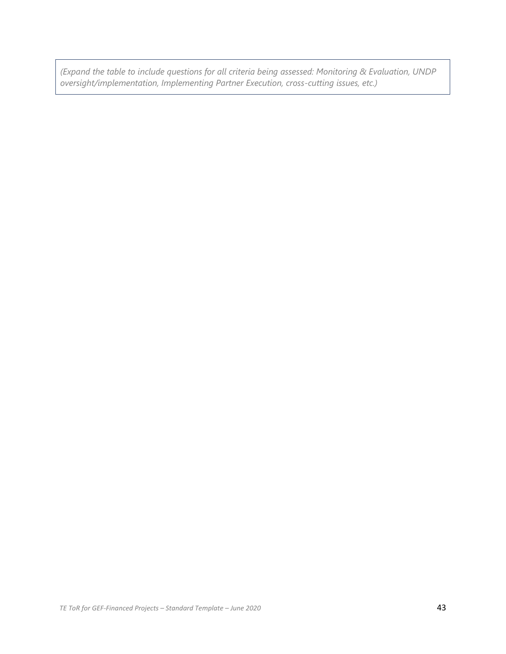*(Expand the table to include questions for all criteria being assessed: Monitoring & Evaluation, UNDP oversight/implementation, Implementing Partner Execution, cross-cutting issues, etc.)*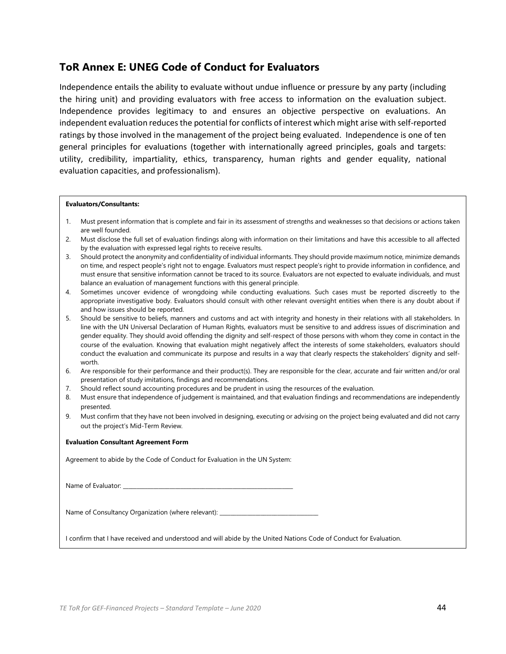### **ToR Annex E: UNEG Code of Conduct for Evaluators**

Independence entails the ability to evaluate without undue influence or pressure by any party (including the hiring unit) and providing evaluators with free access to information on the evaluation subject. Independence provides legitimacy to and ensures an objective perspective on evaluations. An independent evaluation reduces the potential for conflicts of interest which might arise with self-reported ratings by those involved in the management of the project being evaluated. Independence is one of ten general principles for evaluations (together with internationally agreed principles, goals and targets: utility, credibility, impartiality, ethics, transparency, human rights and gender equality, national evaluation capacities, and professionalism).

#### **Evaluators/Consultants:**

- 1. Must present information that is complete and fair in its assessment of strengths and weaknesses so that decisions or actions taken are well founded.
- 2. Must disclose the full set of evaluation findings along with information on their limitations and have this accessible to all affected by the evaluation with expressed legal rights to receive results.
- 3. Should protect the anonymity and confidentiality of individual informants. They should provide maximum notice, minimize demands on time, and respect people's right not to engage. Evaluators must respect people's right to provide information in confidence, and must ensure that sensitive information cannot be traced to its source. Evaluators are not expected to evaluate individuals, and must balance an evaluation of management functions with this general principle.
- 4. Sometimes uncover evidence of wrongdoing while conducting evaluations. Such cases must be reported discreetly to the appropriate investigative body. Evaluators should consult with other relevant oversight entities when there is any doubt about if and how issues should be reported.
- 5. Should be sensitive to beliefs, manners and customs and act with integrity and honesty in their relations with all stakeholders. In line with the UN Universal Declaration of Human Rights, evaluators must be sensitive to and address issues of discrimination and gender equality. They should avoid offending the dignity and self-respect of those persons with whom they come in contact in the course of the evaluation. Knowing that evaluation might negatively affect the interests of some stakeholders, evaluators should conduct the evaluation and communicate its purpose and results in a way that clearly respects the stakeholders' dignity and selfworth.
- 6. Are responsible for their performance and their product(s). They are responsible for the clear, accurate and fair written and/or oral presentation of study imitations, findings and recommendations.
- 7. Should reflect sound accounting procedures and be prudent in using the resources of the evaluation.
- 8. Must ensure that independence of judgement is maintained, and that evaluation findings and recommendations are independently presented.
- 9. Must confirm that they have not been involved in designing, executing or advising on the project being evaluated and did not carry out the project's Mid-Term Review.

#### **Evaluation Consultant Agreement Form**

Agreement to abide by the Code of Conduct for Evaluation in the UN System:

| Name of Evaluator: |  |
|--------------------|--|
|--------------------|--|

Name of Consultancy Organization (where relevant):

I confirm that I have received and understood and will abide by the United Nations Code of Conduct for Evaluation.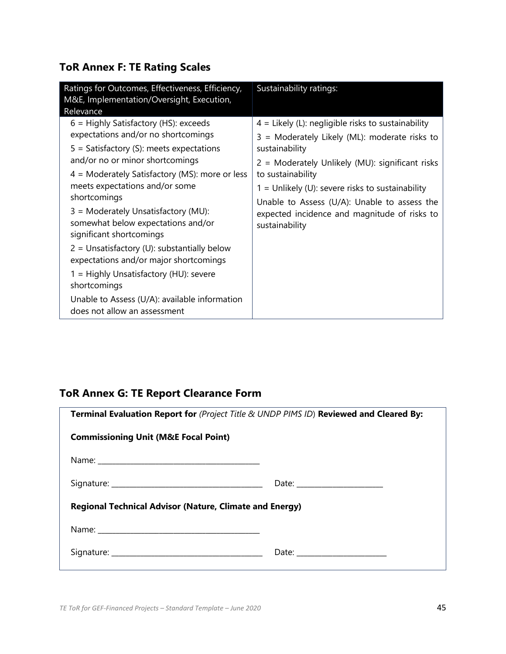# **ToR Annex F: TE Rating Scales**

| Ratings for Outcomes, Effectiveness, Efficiency,<br>M&E, Implementation/Oversight, Execution,<br>Relevance                                                                                                                                                                                                                                                                                                                                                                                                                                                                                                           | Sustainability ratings:                                                                                                                                                                                                                                                                                                                                                 |
|----------------------------------------------------------------------------------------------------------------------------------------------------------------------------------------------------------------------------------------------------------------------------------------------------------------------------------------------------------------------------------------------------------------------------------------------------------------------------------------------------------------------------------------------------------------------------------------------------------------------|-------------------------------------------------------------------------------------------------------------------------------------------------------------------------------------------------------------------------------------------------------------------------------------------------------------------------------------------------------------------------|
| $6$ = Highly Satisfactory (HS): exceeds<br>expectations and/or no shortcomings<br>$5 =$ Satisfactory (S): meets expectations<br>and/or no or minor shortcomings<br>$4$ = Moderately Satisfactory (MS): more or less<br>meets expectations and/or some<br>shortcomings<br>3 = Moderately Unsatisfactory (MU):<br>somewhat below expectations and/or<br>significant shortcomings<br>$2$ = Unsatisfactory (U): substantially below<br>expectations and/or major shortcomings<br>1 = Highly Unsatisfactory (HU): severe<br>shortcomings<br>Unable to Assess (U/A): available information<br>does not allow an assessment | $4$ = Likely (L): negligible risks to sustainability<br>3 = Moderately Likely (ML): moderate risks to<br>sustainability<br>2 = Moderately Unlikely (MU): significant risks<br>to sustainability<br>$1 =$ Unlikely (U): severe risks to sustainability<br>Unable to Assess (U/A): Unable to assess the<br>expected incidence and magnitude of risks to<br>sustainability |

## **ToR Annex G: TE Report Clearance Form**

| Terminal Evaluation Report for (Project Title & UNDP PIMS ID) Reviewed and Cleared By:                                                                                                                                        |  |  |  |  |
|-------------------------------------------------------------------------------------------------------------------------------------------------------------------------------------------------------------------------------|--|--|--|--|
| <b>Commissioning Unit (M&amp;E Focal Point)</b>                                                                                                                                                                               |  |  |  |  |
| Name: Name: Name: Name: Name: Name: Name: Name: Name: Name: Name: Name: Name: Name: Name: Name: Name: Name: Name: Name: Name: Name: Name: Name: Name: Name: Name: Name: Name: Name: Name: Name: Name: Name: Name: Name: Name: |  |  |  |  |
|                                                                                                                                                                                                                               |  |  |  |  |
| <b>Regional Technical Advisor (Nature, Climate and Energy)</b>                                                                                                                                                                |  |  |  |  |
|                                                                                                                                                                                                                               |  |  |  |  |
|                                                                                                                                                                                                                               |  |  |  |  |
|                                                                                                                                                                                                                               |  |  |  |  |